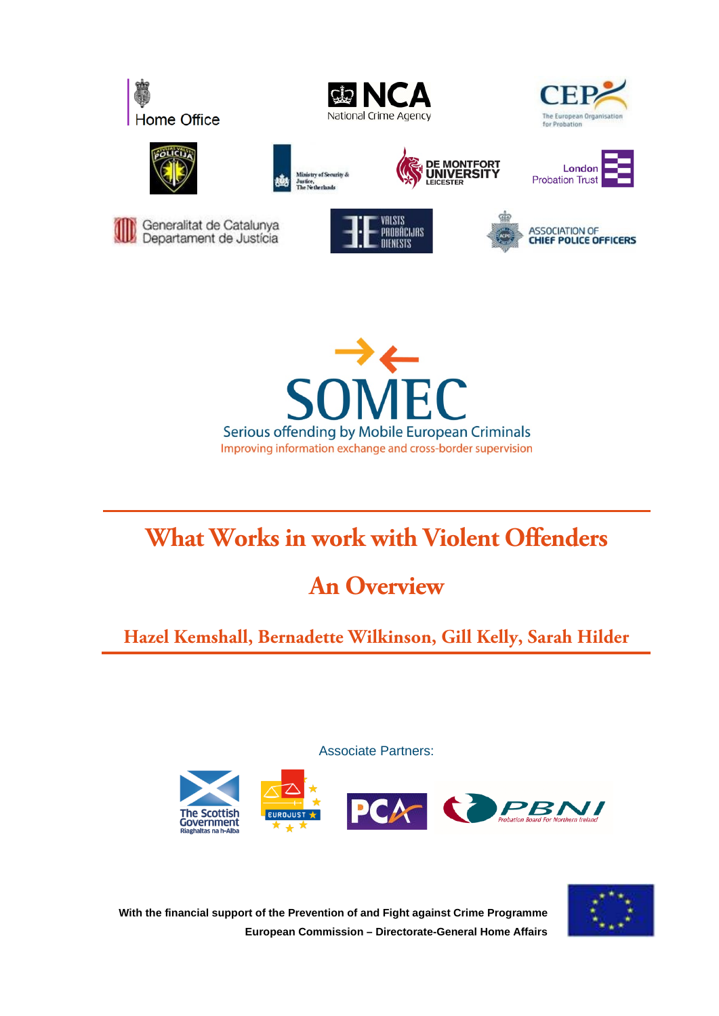





















# **What Works in work with Violent Offenders**

# **An Overview**

# **Hazel Kemshall, Bernadette Wilkinson, Gill Kelly, Sarah Hilder**

Associate Partners:





**With the financial support of the Prevention of and Fight against Crime Programme European Commission – Directorate-General Home Affairs**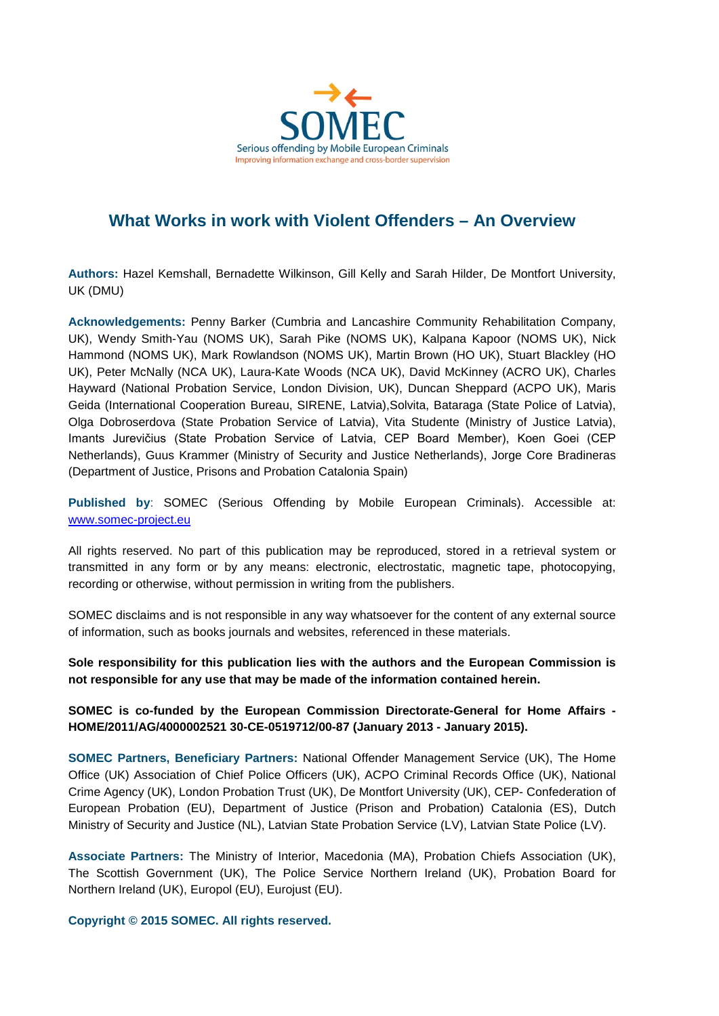

## **What Works in work with Violent Offenders – An Overview**

**Authors:** Hazel Kemshall, Bernadette Wilkinson, Gill Kelly and Sarah Hilder, De Montfort University, UK (DMU)

**Acknowledgements:** Penny Barker (Cumbria and Lancashire Community Rehabilitation Company, UK), Wendy Smith-Yau (NOMS UK), Sarah Pike (NOMS UK), Kalpana Kapoor (NOMS UK), Nick Hammond (NOMS UK), Mark Rowlandson (NOMS UK), Martin Brown (HO UK), Stuart Blackley (HO UK), Peter McNally (NCA UK), Laura-Kate Woods (NCA UK), David McKinney (ACRO UK), Charles Hayward (National Probation Service, London Division, UK), Duncan Sheppard (ACPO UK), Maris Geida (International Cooperation Bureau, SIRENE, Latvia),Solvita, Bataraga (State Police of Latvia), Olga Dobroserdova (State Probation Service of Latvia), Vita Studente (Ministry of Justice Latvia), Imants Jurevičius (State Probation Service of Latvia, CEP Board Member), Koen Goei (CEP Netherlands), Guus Krammer (Ministry of Security and Justice Netherlands), Jorge Core Bradineras (Department of Justice, Prisons and Probation Catalonia Spain)

**Published by**: SOMEC (Serious Offending by Mobile European Criminals). Accessible at: [www.somec-project.eu](http://www.somec-project.eu/)

All rights reserved. No part of this publication may be reproduced, stored in a retrieval system or transmitted in any form or by any means: electronic, electrostatic, magnetic tape, photocopying, recording or otherwise, without permission in writing from the publishers.

SOMEC disclaims and is not responsible in any way whatsoever for the content of any external source of information, such as books journals and websites, referenced in these materials.

**Sole responsibility for this publication lies with the authors and the European Commission is not responsible for any use that may be made of the information contained herein.**

**SOMEC is co-funded by the European Commission Directorate-General for Home Affairs - HOME/2011/AG/4000002521 30-CE-0519712/00-87 (January 2013 - January 2015).**

**SOMEC Partners, Beneficiary Partners:** National Offender Management Service (UK), The Home Office (UK) Association of Chief Police Officers (UK), ACPO Criminal Records Office (UK), National Crime Agency (UK), London Probation Trust (UK), De Montfort University (UK), CEP- Confederation of European Probation (EU), Department of Justice (Prison and Probation) Catalonia (ES), Dutch Ministry of Security and Justice (NL), Latvian State Probation Service (LV), Latvian State Police (LV).

**Associate Partners:** The Ministry of Interior, Macedonia (MA), Probation Chiefs Association (UK), The Scottish Government (UK), The Police Service Northern Ireland (UK), Probation Board for Northern Ireland (UK), Europol (EU), Eurojust (EU).

**Copyright © 2015 SOMEC. All rights reserved.**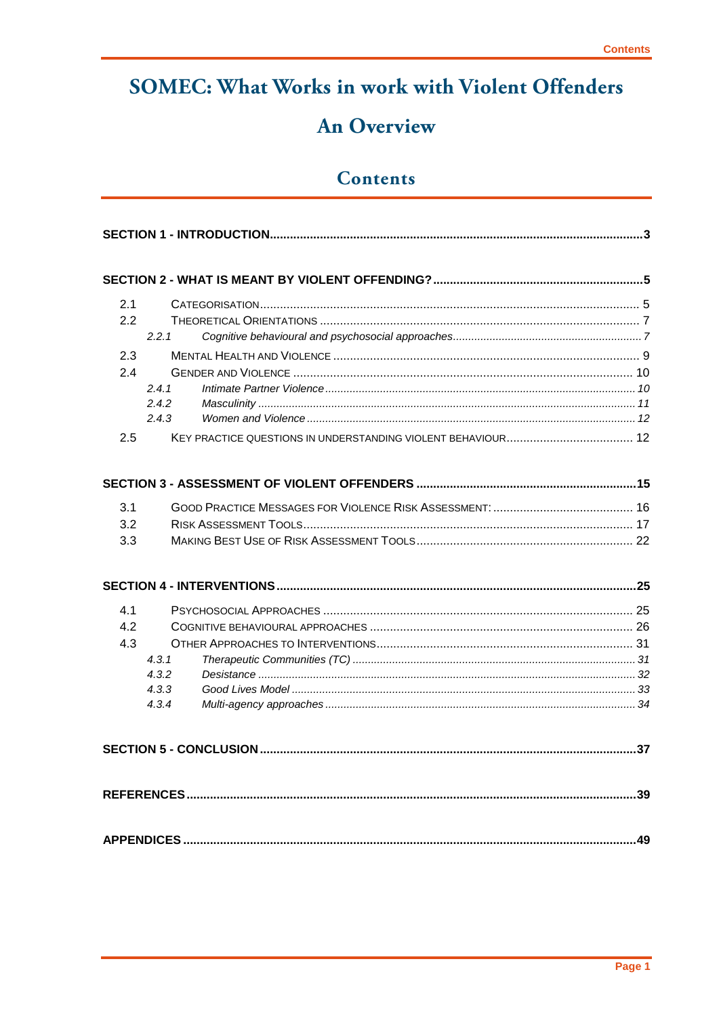# **SOMEC: What Works in work with Violent Offenders**

# **An Overview**

## **Contents**

| 2.1 |                |  |  |  |  |
|-----|----------------|--|--|--|--|
| 2.2 |                |  |  |  |  |
|     | 2.2.1          |  |  |  |  |
| 2.3 |                |  |  |  |  |
| 24  |                |  |  |  |  |
|     | 2.4.1          |  |  |  |  |
|     | 2.4.2<br>2.4.3 |  |  |  |  |
|     |                |  |  |  |  |
| 2.5 |                |  |  |  |  |
|     |                |  |  |  |  |
| 3.1 |                |  |  |  |  |
| 3.2 |                |  |  |  |  |
| 3.3 |                |  |  |  |  |
|     |                |  |  |  |  |
|     |                |  |  |  |  |
|     |                |  |  |  |  |
| 4.1 |                |  |  |  |  |
| 4.2 |                |  |  |  |  |
| 4.3 |                |  |  |  |  |
|     | 4.3.1<br>4.3.2 |  |  |  |  |
|     | 4.3.3          |  |  |  |  |
|     | 4.3.4          |  |  |  |  |
|     |                |  |  |  |  |
|     |                |  |  |  |  |
|     |                |  |  |  |  |
|     |                |  |  |  |  |
|     |                |  |  |  |  |
|     |                |  |  |  |  |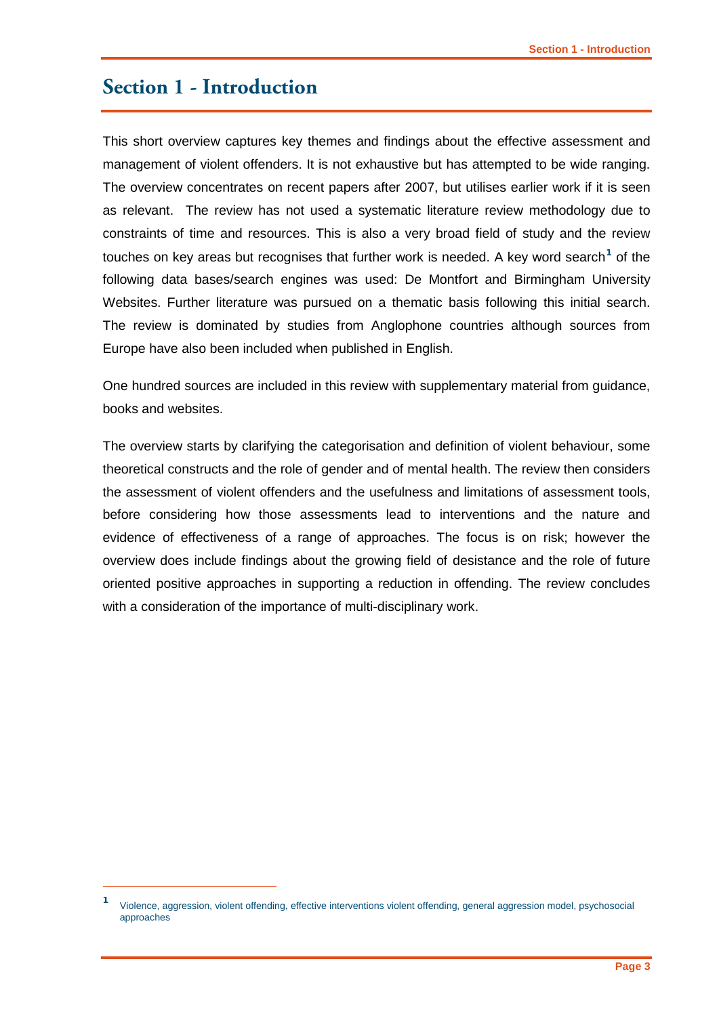## <span id="page-4-0"></span>**Section 1 - Introduction**

-

This short overview captures key themes and findings about the effective assessment and management of violent offenders. It is not exhaustive but has attempted to be wide ranging. The overview concentrates on recent papers after 2007, but utilises earlier work if it is seen as relevant. The review has not used a systematic literature review methodology due to constraints of time and resources. This is also a very broad field of study and the review touches on key areas but recognises that further work is needed. A key word search<sup>[1](#page-4-1)</sup> of the following data bases/search engines was used: De Montfort and Birmingham University Websites. Further literature was pursued on a thematic basis following this initial search. The review is dominated by studies from Anglophone countries although sources from Europe have also been included when published in English.

One hundred sources are included in this review with supplementary material from guidance, books and websites.

The overview starts by clarifying the categorisation and definition of violent behaviour, some theoretical constructs and the role of gender and of mental health. The review then considers the assessment of violent offenders and the usefulness and limitations of assessment tools, before considering how those assessments lead to interventions and the nature and evidence of effectiveness of a range of approaches. The focus is on risk; however the overview does include findings about the growing field of desistance and the role of future oriented positive approaches in supporting a reduction in offending. The review concludes with a consideration of the importance of multi-disciplinary work.

<span id="page-4-1"></span>**<sup>1</sup>** Violence, aggression, violent offending, effective interventions violent offending, general aggression model, psychosocial approaches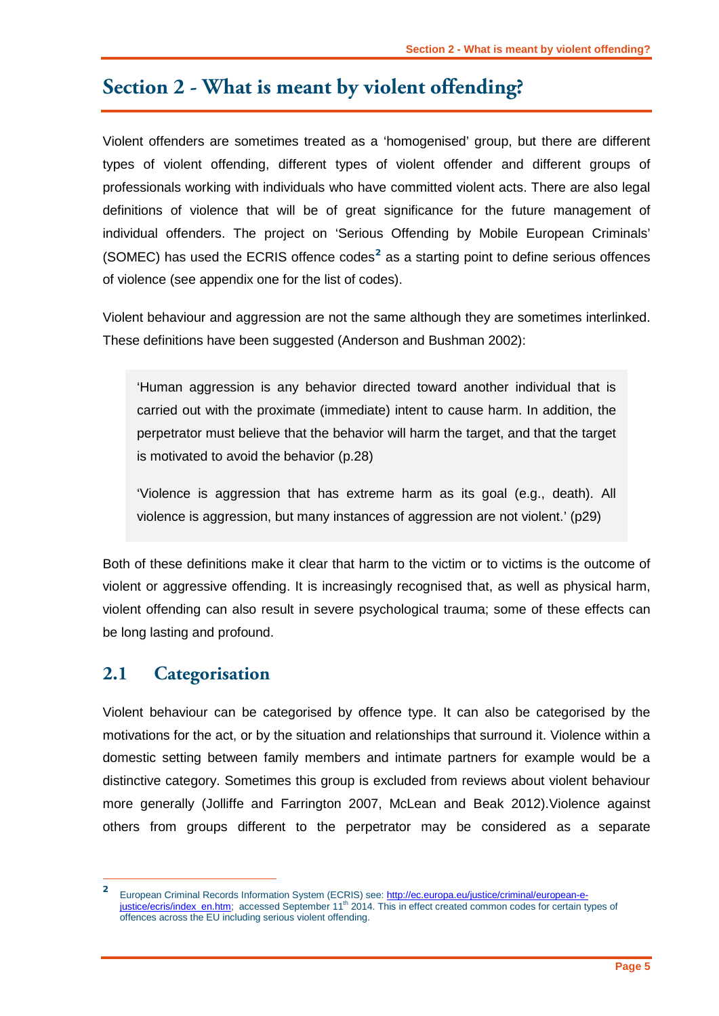# <span id="page-6-0"></span>**Section 2 - What is meant by violent offending?**

Violent offenders are sometimes treated as a 'homogenised' group, but there are different types of violent offending, different types of violent offender and different groups of professionals working with individuals who have committed violent acts. There are also legal definitions of violence that will be of great significance for the future management of individual offenders. The project on 'Serious Offending by Mobile European Criminals' (SOMEC) has used the ECRIS offence codes**[2](#page-6-2)** as a starting point to define serious offences of violence (see appendix one for the list of codes).

Violent behaviour and aggression are not the same although they are sometimes interlinked. These definitions have been suggested (Anderson and Bushman 2002):

'Human aggression is any behavior directed toward another individual that is carried out with the proximate (immediate) intent to cause harm. In addition, the perpetrator must believe that the behavior will harm the target, and that the target is motivated to avoid the behavior (p.28)

'Violence is aggression that has extreme harm as its goal (e.g., death). All violence is aggression, but many instances of aggression are not violent.' (p29)

Both of these definitions make it clear that harm to the victim or to victims is the outcome of violent or aggressive offending. It is increasingly recognised that, as well as physical harm, violent offending can also result in severe psychological trauma; some of these effects can be long lasting and profound.

## <span id="page-6-1"></span>**2.1 Categorisation**

Violent behaviour can be categorised by offence type. It can also be categorised by the motivations for the act, or by the situation and relationships that surround it. Violence within a domestic setting between family members and intimate partners for example would be a distinctive category. Sometimes this group is excluded from reviews about violent behaviour more generally (Jolliffe and Farrington 2007, McLean and Beak 2012).Violence against others from groups different to the perpetrator may be considered as a separate

<span id="page-6-2"></span>**<sup>2</sup>** European Criminal Records Information System (ECRIS) see[: http://ec.europa.eu/justice/criminal/european-e](http://ec.europa.eu/justice/criminal/european-e-justice/ecris/index_en.htm)[justice/ecris/index\\_en.htm;](http://ec.europa.eu/justice/criminal/european-e-justice/ecris/index_en.htm) accessed September 11<sup>th</sup> 2014. This in effect created common codes for certain types of offences across the EU including serious violent offending.  $\overline{2}$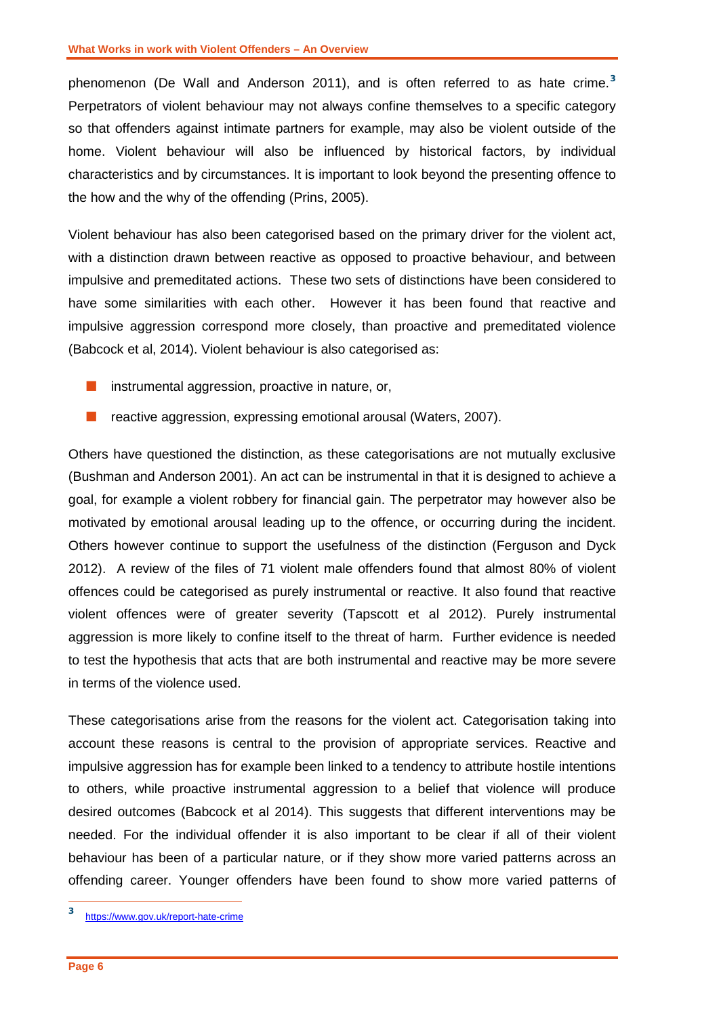phenomenon (De Wall and Anderson 2011), and is often referred to as hate crime. **[3](#page-7-0)** Perpetrators of violent behaviour may not always confine themselves to a specific category so that offenders against intimate partners for example, may also be violent outside of the home. Violent behaviour will also be influenced by historical factors, by individual characteristics and by circumstances. It is important to look beyond the presenting offence to the how and the why of the offending (Prins, 2005).

Violent behaviour has also been categorised based on the primary driver for the violent act, with a distinction drawn between reactive as opposed to proactive behaviour, and between impulsive and premeditated actions. These two sets of distinctions have been considered to have some similarities with each other. However it has been found that reactive and impulsive aggression correspond more closely, than proactive and premeditated violence (Babcock et al, 2014). Violent behaviour is also categorised as:

- $\blacksquare$  instrumental aggression, proactive in nature, or,
- **F** reactive aggression, expressing emotional arousal (Waters, 2007).

Others have questioned the distinction, as these categorisations are not mutually exclusive (Bushman and Anderson 2001). An act can be instrumental in that it is designed to achieve a goal, for example a violent robbery for financial gain. The perpetrator may however also be motivated by emotional arousal leading up to the offence, or occurring during the incident. Others however continue to support the usefulness of the distinction (Ferguson and Dyck 2012). A review of the files of 71 violent male offenders found that almost 80% of violent offences could be categorised as purely instrumental or reactive. It also found that reactive violent offences were of greater severity (Tapscott et al 2012). Purely instrumental aggression is more likely to confine itself to the threat of harm. Further evidence is needed to test the hypothesis that acts that are both instrumental and reactive may be more severe in terms of the violence used.

These categorisations arise from the reasons for the violent act. Categorisation taking into account these reasons is central to the provision of appropriate services. Reactive and impulsive aggression has for example been linked to a tendency to attribute hostile intentions to others, while proactive instrumental aggression to a belief that violence will produce desired outcomes (Babcock et al 2014). This suggests that different interventions may be needed. For the individual offender it is also important to be clear if all of their violent behaviour has been of a particular nature, or if they show more varied patterns across an offending career. Younger offenders have been found to show more varied patterns of

-

<span id="page-7-0"></span>**<sup>3</sup>** <https://www.gov.uk/report-hate-crime>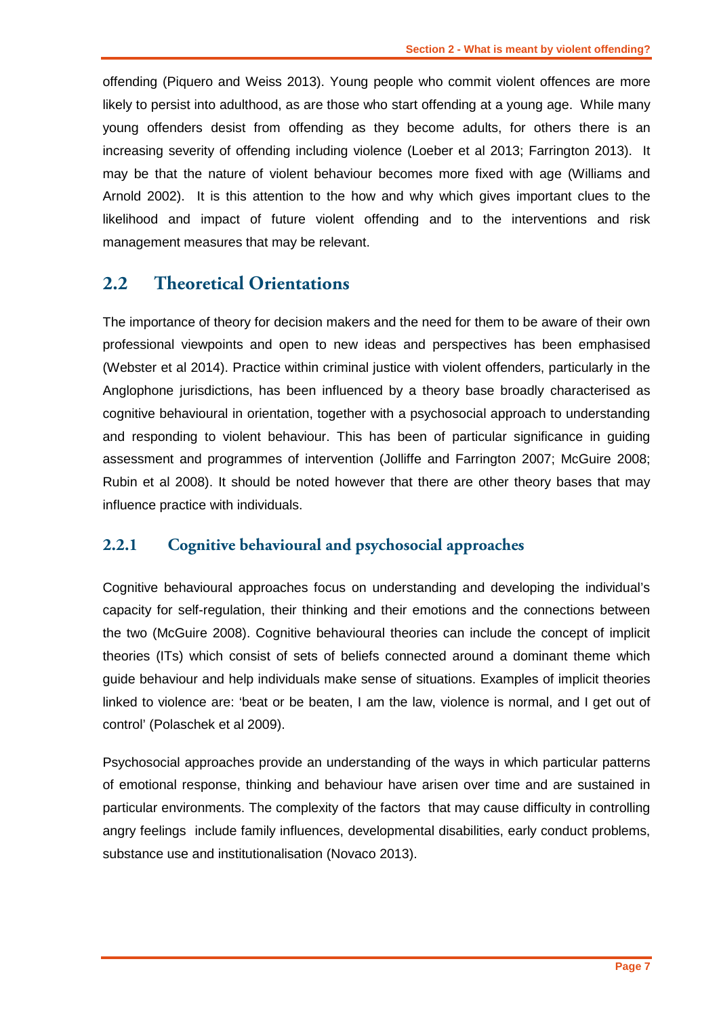offending (Piquero and Weiss 2013). Young people who commit violent offences are more likely to persist into adulthood, as are those who start offending at a young age. While many young offenders desist from offending as they become adults, for others there is an increasing severity of offending including violence (Loeber et al 2013; Farrington 2013). It may be that the nature of violent behaviour becomes more fixed with age (Williams and Arnold 2002). It is this attention to the how and why which gives important clues to the likelihood and impact of future violent offending and to the interventions and risk management measures that may be relevant.

### <span id="page-8-0"></span>**2.2 Theoretical Orientations**

The importance of theory for decision makers and the need for them to be aware of their own professional viewpoints and open to new ideas and perspectives has been emphasised (Webster et al 2014). Practice within criminal justice with violent offenders, particularly in the Anglophone jurisdictions, has been influenced by a theory base broadly characterised as cognitive behavioural in orientation, together with a psychosocial approach to understanding and responding to violent behaviour. This has been of particular significance in guiding assessment and programmes of intervention (Jolliffe and Farrington 2007; McGuire 2008; Rubin et al 2008). It should be noted however that there are other theory bases that may influence practice with individuals.

#### <span id="page-8-1"></span>**2.2.1 Cognitive behavioural and psychosocial approaches**

Cognitive behavioural approaches focus on understanding and developing the individual's capacity for self-regulation, their thinking and their emotions and the connections between the two (McGuire 2008). Cognitive behavioural theories can include the concept of implicit theories (ITs) which consist of sets of beliefs connected around a dominant theme which guide behaviour and help individuals make sense of situations. Examples of implicit theories linked to violence are: 'beat or be beaten, I am the law, violence is normal, and I get out of control' (Polaschek et al 2009).

Psychosocial approaches provide an understanding of the ways in which particular patterns of emotional response, thinking and behaviour have arisen over time and are sustained in particular environments. The complexity of the factors that may cause difficulty in controlling angry feelings include family influences, developmental disabilities, early conduct problems, substance use and institutionalisation (Novaco 2013).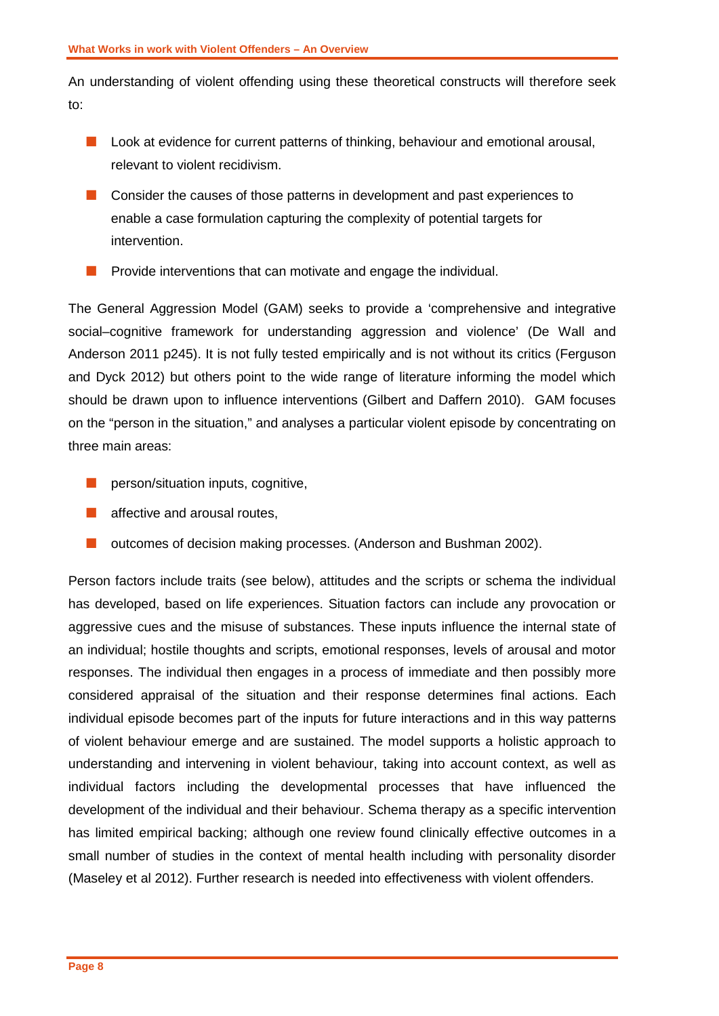An understanding of violent offending using these theoretical constructs will therefore seek to:

- **Look at evidence for current patterns of thinking, behaviour and emotional arousal,** relevant to violent recidivism.
- **Consider the causes of those patterns in development and past experiences to** enable a case formulation capturing the complexity of potential targets for intervention.
- **Provide interventions that can motivate and engage the individual.**

The General Aggression Model (GAM) seeks to provide a 'comprehensive and integrative social–cognitive framework for understanding aggression and violence' (De Wall and Anderson 2011 p245). It is not fully tested empirically and is not without its critics (Ferguson and Dyck 2012) but others point to the wide range of literature informing the model which should be drawn upon to influence interventions (Gilbert and Daffern 2010). GAM focuses on the "person in the situation," and analyses a particular violent episode by concentrating on three main areas:

- $\blacksquare$  person/situation inputs, cognitive,
- **All affective and arousal routes,**
- **D** outcomes of decision making processes. (Anderson and Bushman 2002).

Person factors include traits (see below), attitudes and the scripts or schema the individual has developed, based on life experiences. Situation factors can include any provocation or aggressive cues and the misuse of substances. These inputs influence the internal state of an individual; hostile thoughts and scripts, emotional responses, levels of arousal and motor responses. The individual then engages in a process of immediate and then possibly more considered appraisal of the situation and their response determines final actions. Each individual episode becomes part of the inputs for future interactions and in this way patterns of violent behaviour emerge and are sustained. The model supports a holistic approach to understanding and intervening in violent behaviour, taking into account context, as well as individual factors including the developmental processes that have influenced the development of the individual and their behaviour. Schema therapy as a specific intervention has limited empirical backing; although one review found clinically effective outcomes in a small number of studies in the context of mental health including with personality disorder (Maseley et al 2012). Further research is needed into effectiveness with violent offenders.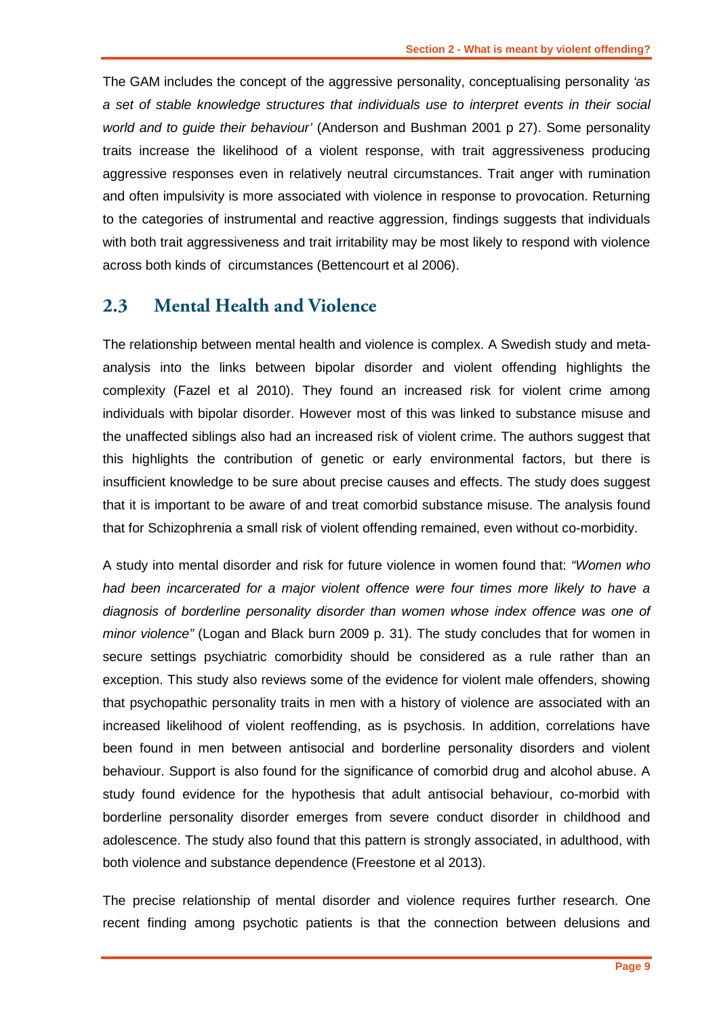The GAM includes the concept of the aggressive personality, conceptualising personality *'as a set of stable knowledge structures that individuals use to interpret events in their social world and to guide their behaviour'* (Anderson and Bushman 2001 p 27). Some personality traits increase the likelihood of a violent response, with trait aggressiveness producing aggressive responses even in relatively neutral circumstances. Trait anger with rumination and often impulsivity is more associated with violence in response to provocation. Returning to the categories of instrumental and reactive aggression, findings suggests that individuals with both trait aggressiveness and trait irritability may be most likely to respond with violence across both kinds of circumstances (Bettencourt et al 2006).

#### <span id="page-10-0"></span>**2.3 Mental Health and Violence**

The relationship between mental health and violence is complex. A Swedish study and metaanalysis into the links between bipolar disorder and violent offending highlights the complexity (Fazel et al 2010). They found an increased risk for violent crime among individuals with bipolar disorder. However most of this was linked to substance misuse and the unaffected siblings also had an increased risk of violent crime. The authors suggest that this highlights the contribution of genetic or early environmental factors, but there is insufficient knowledge to be sure about precise causes and effects. The study does suggest that it is important to be aware of and treat comorbid substance misuse. The analysis found that for Schizophrenia a small risk of violent offending remained, even without co-morbidity.

A study into mental disorder and risk for future violence in women found that: *"Women who had been incarcerated for a major violent offence were four times more likely to have a diagnosis of borderline personality disorder than women whose index offence was one of minor violence"* (Logan and Black burn 2009 p. 31). The study concludes that for women in secure settings psychiatric comorbidity should be considered as a rule rather than an exception. This study also reviews some of the evidence for violent male offenders, showing that psychopathic personality traits in men with a history of violence are associated with an increased likelihood of violent reoffending, as is psychosis. In addition, correlations have been found in men between antisocial and borderline personality disorders and violent behaviour. Support is also found for the significance of comorbid drug and alcohol abuse. A study found evidence for the hypothesis that adult antisocial behaviour, co-morbid with borderline personality disorder emerges from severe conduct disorder in childhood and adolescence. The study also found that this pattern is strongly associated, in adulthood, with both violence and substance dependence (Freestone et al 2013).

The precise relationship of mental disorder and violence requires further research. One recent finding among psychotic patients is that the connection between delusions and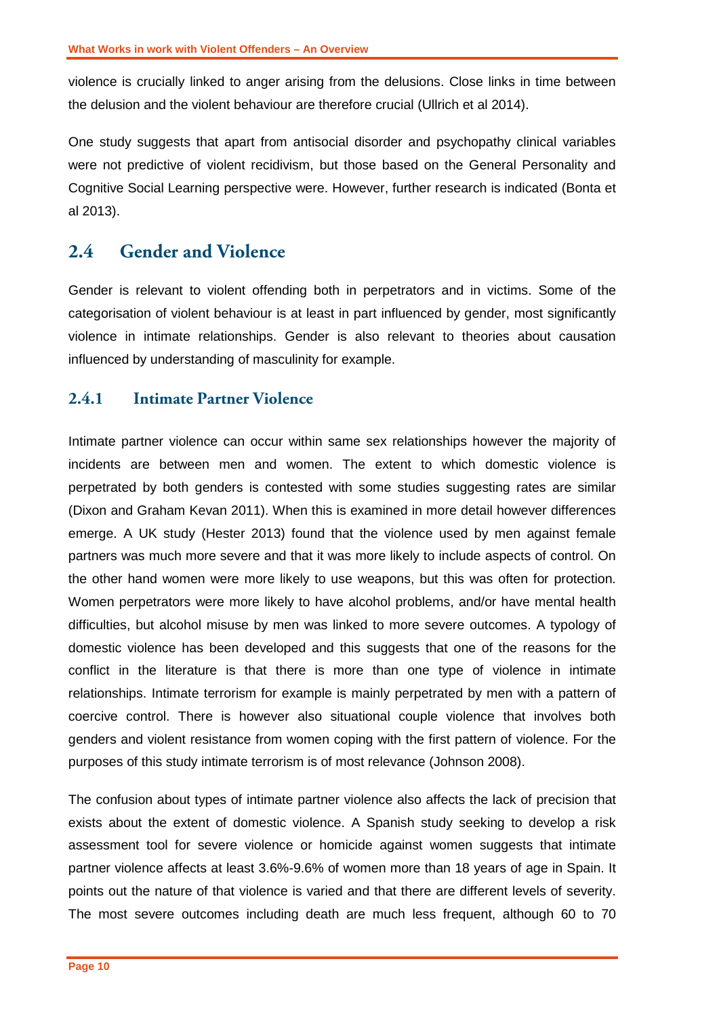violence is crucially linked to anger arising from the delusions. Close links in time between the delusion and the violent behaviour are therefore crucial (Ullrich et al 2014).

One study suggests that apart from antisocial disorder and psychopathy clinical variables were not predictive of violent recidivism, but those based on the General Personality and Cognitive Social Learning perspective were. However, further research is indicated (Bonta et al 2013).

## <span id="page-11-0"></span>**2.4 Gender and Violence**

Gender is relevant to violent offending both in perpetrators and in victims. Some of the categorisation of violent behaviour is at least in part influenced by gender, most significantly violence in intimate relationships. Gender is also relevant to theories about causation influenced by understanding of masculinity for example.

#### <span id="page-11-1"></span>**2.4.1 Intimate Partner Violence**

Intimate partner violence can occur within same sex relationships however the majority of incidents are between men and women. The extent to which domestic violence is perpetrated by both genders is contested with some studies suggesting rates are similar (Dixon and Graham Kevan 2011). When this is examined in more detail however differences emerge. A UK study (Hester 2013) found that the violence used by men against female partners was much more severe and that it was more likely to include aspects of control. On the other hand women were more likely to use weapons, but this was often for protection. Women perpetrators were more likely to have alcohol problems, and/or have mental health difficulties, but alcohol misuse by men was linked to more severe outcomes. A typology of domestic violence has been developed and this suggests that one of the reasons for the conflict in the literature is that there is more than one type of violence in intimate relationships. Intimate terrorism for example is mainly perpetrated by men with a pattern of coercive control. There is however also situational couple violence that involves both genders and violent resistance from women coping with the first pattern of violence. For the purposes of this study intimate terrorism is of most relevance (Johnson 2008).

The confusion about types of intimate partner violence also affects the lack of precision that exists about the extent of domestic violence. A Spanish study seeking to develop a risk assessment tool for severe violence or homicide against women suggests that intimate partner violence affects at least 3.6%-9.6% of women more than 18 years of age in Spain. It points out the nature of that violence is varied and that there are different levels of severity. The most severe outcomes including death are much less frequent, although 60 to 70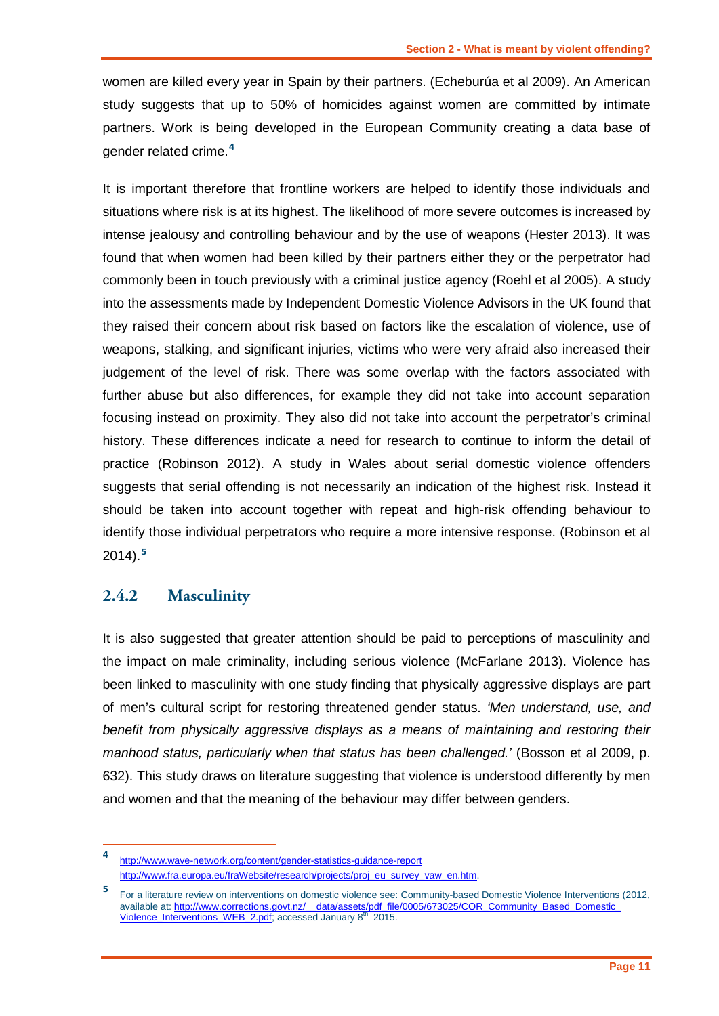women are killed every year in Spain by their partners. (Echeburúa et al 2009). An American study suggests that up to 50% of homicides against women are committed by intimate partners. Work is being developed in the European Community creating a data base of gender related crime.**[4](#page-12-1)**

It is important therefore that frontline workers are helped to identify those individuals and situations where risk is at its highest. The likelihood of more severe outcomes is increased by intense jealousy and controlling behaviour and by the use of weapons (Hester 2013). It was found that when women had been killed by their partners either they or the perpetrator had commonly been in touch previously with a criminal justice agency (Roehl et al 2005). A study into the assessments made by Independent Domestic Violence Advisors in the UK found that they raised their concern about risk based on factors like the escalation of violence, use of weapons, stalking, and significant injuries, victims who were very afraid also increased their judgement of the level of risk. There was some overlap with the factors associated with further abuse but also differences, for example they did not take into account separation focusing instead on proximity. They also did not take into account the perpetrator's criminal history. These differences indicate a need for research to continue to inform the detail of practice (Robinson 2012). A study in Wales about serial domestic violence offenders suggests that serial offending is not necessarily an indication of the highest risk. Instead it should be taken into account together with repeat and high-risk offending behaviour to identify those individual perpetrators who require a more intensive response. (Robinson et al 2014).**[5](#page-12-2)**

#### <span id="page-12-0"></span>**2.4.2 Masculinity**

-

It is also suggested that greater attention should be paid to perceptions of masculinity and the impact on male criminality, including serious violence (McFarlane 2013). Violence has been linked to masculinity with one study finding that physically aggressive displays are part of men's cultural script for restoring threatened gender status. *'Men understand, use, and*  benefit from physically aggressive displays as a means of maintaining and restoring their *manhood status, particularly when that status has been challenged.'* (Bosson et al 2009, p. 632). This study draws on literature suggesting that violence is understood differently by men and women and that the meaning of the behaviour may differ between genders.

<span id="page-12-1"></span>**<sup>4</sup>** <http://www.wave-network.org/content/gender-statistics-guidance-report> [http://www.fra.europa.eu/fraWebsite/research/projects/proj\\_eu\\_survey\\_vaw\\_en.htm.](http://www.fra.europa.eu/fraWebsite/research/projects/proj_eu_survey_vaw_en.htm)

<span id="page-12-2"></span>**<sup>5</sup>** For a literature review on interventions on domestic violence see: Community-based Domestic Violence Interventions (2012, available at: http://www.corrections.govt.nz/ data/assets/pdf\_file/0005/673025/COR\_Community\_Based\_Domestic [Violence\\_Interventions\\_WEB\\_2.pdf;](http://www.corrections.govt.nz/__data/assets/pdf_file/0005/673025/COR_Community_Based_Domestic_%20Violence_Interventions_WEB_2.pdf) accessed January 8<sup>th</sup> 2015.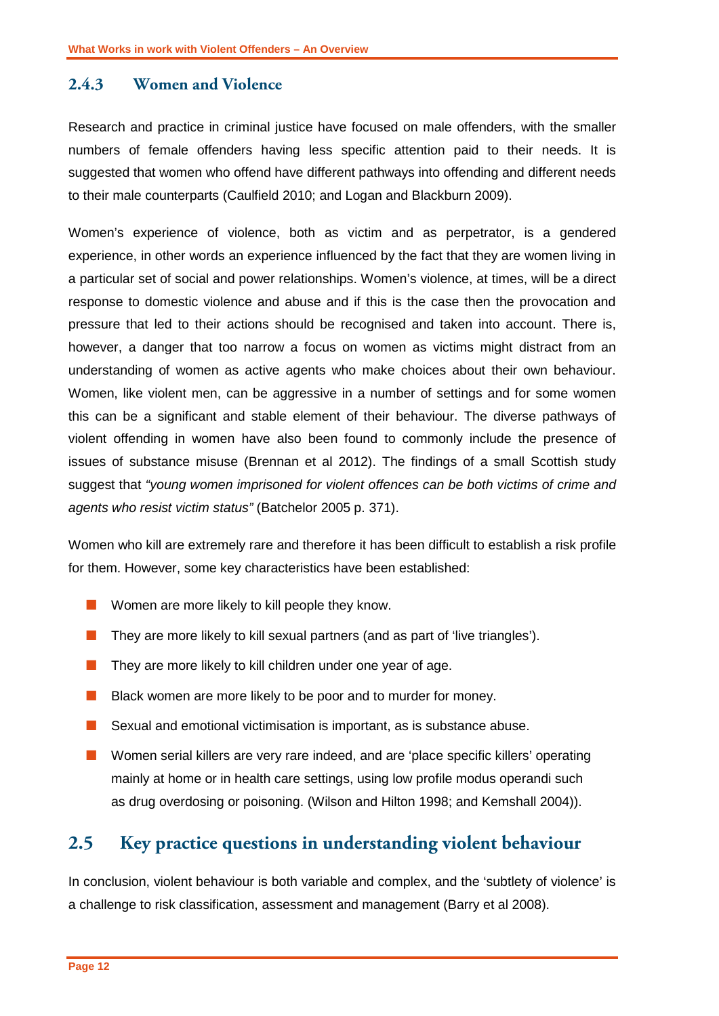#### <span id="page-13-0"></span>**2.4.3 Women and Violence**

Research and practice in criminal justice have focused on male offenders, with the smaller numbers of female offenders having less specific attention paid to their needs. It is suggested that women who offend have different pathways into offending and different needs to their male counterparts (Caulfield 2010; and Logan and Blackburn 2009).

Women's experience of violence, both as victim and as perpetrator, is a gendered experience, in other words an experience influenced by the fact that they are women living in a particular set of social and power relationships. Women's violence, at times, will be a direct response to domestic violence and abuse and if this is the case then the provocation and pressure that led to their actions should be recognised and taken into account. There is, however, a danger that too narrow a focus on women as victims might distract from an understanding of women as active agents who make choices about their own behaviour. Women, like violent men, can be aggressive in a number of settings and for some women this can be a significant and stable element of their behaviour. The diverse pathways of violent offending in women have also been found to commonly include the presence of issues of substance misuse (Brennan et al 2012). The findings of a small Scottish study suggest that *"young women imprisoned for violent offences can be both victims of crime and agents who resist victim status"* (Batchelor 2005 p. 371).

Women who kill are extremely rare and therefore it has been difficult to establish a risk profile for them. However, some key characteristics have been established:

- **Nomen are more likely to kill people they know.**
- $\blacksquare$  They are more likely to kill sexual partners (and as part of 'live triangles').
- $\blacksquare$  They are more likely to kill children under one year of age.
- **Black women are more likely to be poor and to murder for money.**
- Sexual and emotional victimisation is important, as is substance abuse.
- **Nomen serial killers are very rare indeed, and are 'place specific killers' operating** mainly at home or in health care settings, using low profile modus operandi such as drug overdosing or poisoning. (Wilson and Hilton 1998; and Kemshall 2004)).

#### <span id="page-13-1"></span>**2.5 Key practice questions in understanding violent behaviour**

In conclusion, violent behaviour is both variable and complex, and the 'subtlety of violence' is a challenge to risk classification, assessment and management (Barry et al 2008).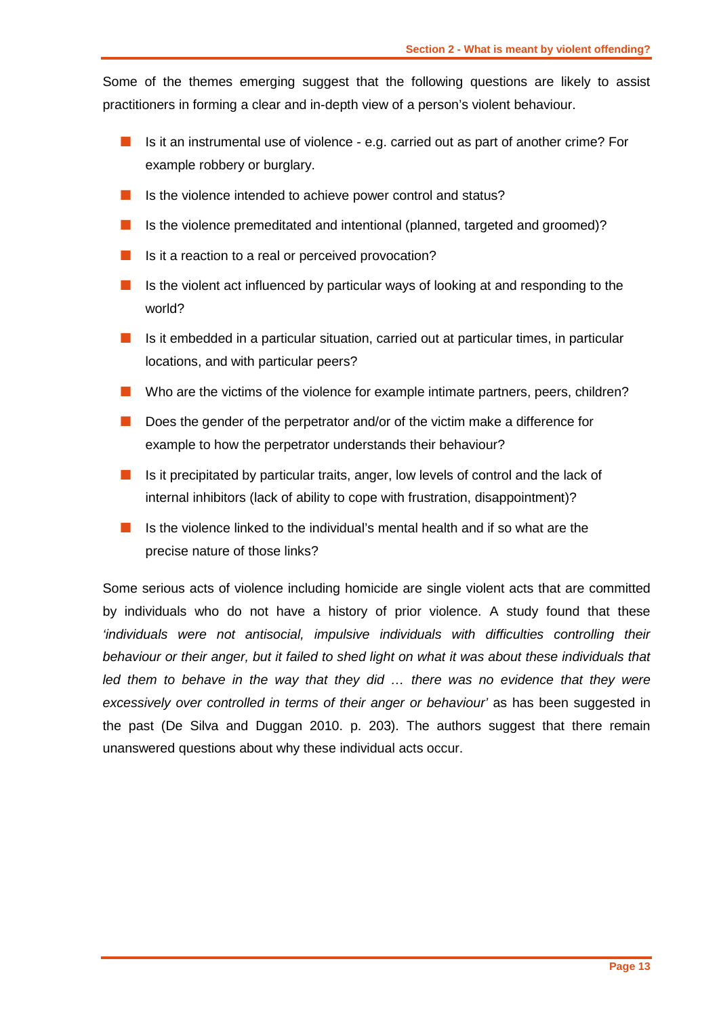Some of the themes emerging suggest that the following questions are likely to assist practitioners in forming a clear and in-depth view of a person's violent behaviour.

- Is it an instrumental use of violence e.g. carried out as part of another crime? For example robbery or burglary.
- $\blacksquare$  Is the violence intended to achieve power control and status?
- Is the violence premeditated and intentional (planned, targeted and groomed)?
- Is it a reaction to a real or perceived provocation?
- Is the violent act influenced by particular ways of looking at and responding to the world?
- Is it embedded in a particular situation, carried out at particular times, in particular locations, and with particular peers?
- Who are the victims of the violence for example intimate partners, peers, children?
- Does the gender of the perpetrator and/or of the victim make a difference for example to how the perpetrator understands their behaviour?
- $\blacksquare$  Is it precipitated by particular traits, anger, low levels of control and the lack of internal inhibitors (lack of ability to cope with frustration, disappointment)?
- Is the violence linked to the individual's mental health and if so what are the precise nature of those links?

Some serious acts of violence including homicide are single violent acts that are committed by individuals who do not have a history of prior violence. A study found that these *'individuals were not antisocial, impulsive individuals with difficulties controlling their behaviour or their anger, but it failed to shed light on what it was about these individuals that led them to behave in the way that they did … there was no evidence that they were excessively over controlled in terms of their anger or behaviour'* as has been suggested in the past (De Silva and Duggan 2010. p. 203). The authors suggest that there remain unanswered questions about why these individual acts occur.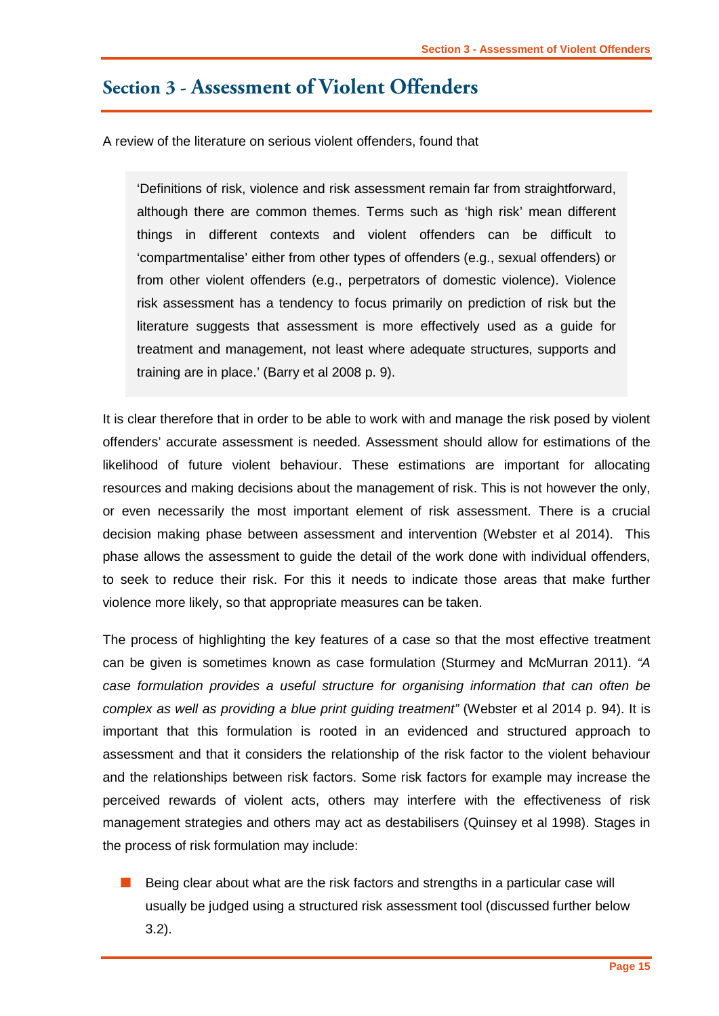## <span id="page-16-0"></span>**Section 3 - Assessment of Violent Offenders**

A review of the literature on serious violent offenders, found that

'Definitions of risk, violence and risk assessment remain far from straightforward, although there are common themes. Terms such as 'high risk' mean different things in different contexts and violent offenders can be difficult to 'compartmentalise' either from other types of offenders (e.g., sexual offenders) or from other violent offenders (e.g., perpetrators of domestic violence). Violence risk assessment has a tendency to focus primarily on prediction of risk but the literature suggests that assessment is more effectively used as a guide for treatment and management, not least where adequate structures, supports and training are in place.' (Barry et al 2008 p. 9).

It is clear therefore that in order to be able to work with and manage the risk posed by violent offenders' accurate assessment is needed. Assessment should allow for estimations of the likelihood of future violent behaviour. These estimations are important for allocating resources and making decisions about the management of risk. This is not however the only, or even necessarily the most important element of risk assessment. There is a crucial decision making phase between assessment and intervention (Webster et al 2014). This phase allows the assessment to guide the detail of the work done with individual offenders, to seek to reduce their risk. For this it needs to indicate those areas that make further violence more likely, so that appropriate measures can be taken.

The process of highlighting the key features of a case so that the most effective treatment can be given is sometimes known as case formulation (Sturmey and McMurran 2011). *"A case formulation provides a useful structure for organising information that can often be complex as well as providing a blue print guiding treatment"* (Webster et al 2014 p. 94). It is important that this formulation is rooted in an evidenced and structured approach to assessment and that it considers the relationship of the risk factor to the violent behaviour and the relationships between risk factors. Some risk factors for example may increase the perceived rewards of violent acts, others may interfere with the effectiveness of risk management strategies and others may act as destabilisers (Quinsey et al 1998). Stages in the process of risk formulation may include:

 Being clear about what are the risk factors and strengths in a particular case will usually be judged using a structured risk assessment tool (discussed further below 3.2).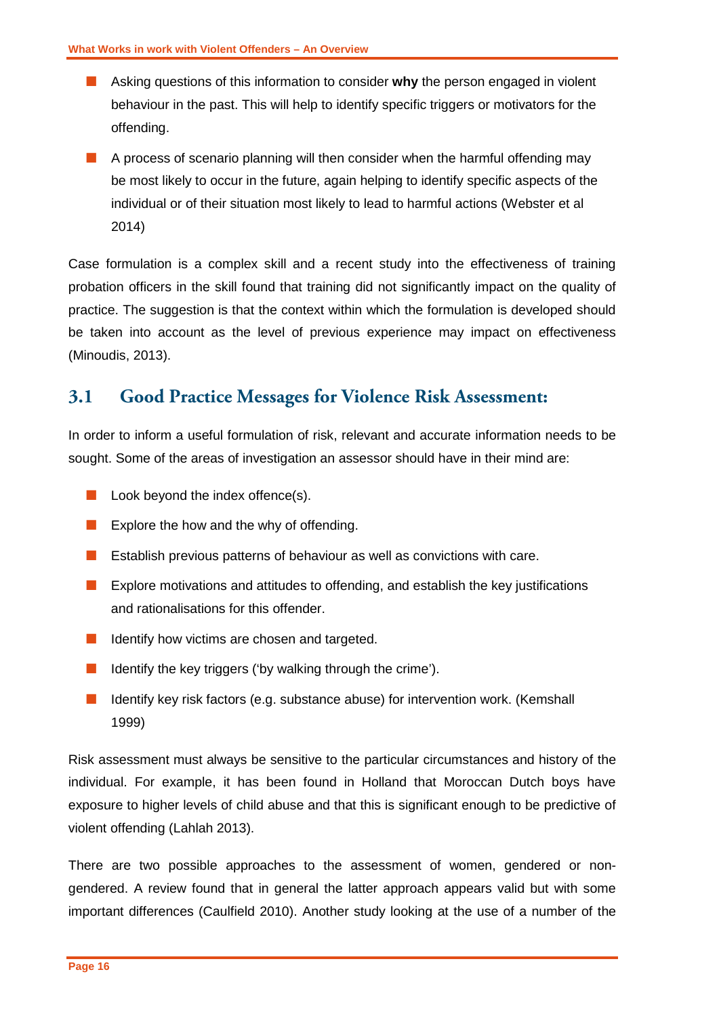- Asking questions of this information to consider **why** the person engaged in violent behaviour in the past. This will help to identify specific triggers or motivators for the offending.
- $\blacksquare$  A process of scenario planning will then consider when the harmful offending may be most likely to occur in the future, again helping to identify specific aspects of the individual or of their situation most likely to lead to harmful actions (Webster et al 2014)

Case formulation is a complex skill and a recent study into the effectiveness of training probation officers in the skill found that training did not significantly impact on the quality of practice. The suggestion is that the context within which the formulation is developed should be taken into account as the level of previous experience may impact on effectiveness (Minoudis, 2013).

## <span id="page-17-0"></span>**3.1 Good Practice Messages for Violence Risk Assessment:**

In order to inform a useful formulation of risk, relevant and accurate information needs to be sought. Some of the areas of investigation an assessor should have in their mind are:

- $\blacksquare$  Look beyond the index offence(s).
- Explore the how and the why of offending.
- **E** Establish previous patterns of behaviour as well as convictions with care.
- **EXPLORED EXPLORED EXPLORED MOTEL EXPLORED MOTEL SHOW A** EXPLORED EXPLORED EXPLORED EXPLORED EXPLORED EXPLORED EXPLORED EXPLORED EXPLORED EXPLORED EXPLORED EXPLORED EXPLORED EXPLORED EXPLORED EXPLORED EXPLORED EXPLORED EXP and rationalisations for this offender.
- I Identify how victims are chosen and targeted.
- I Identify the key triggers ('by walking through the crime').
- $\blacksquare$  Identify key risk factors (e.g. substance abuse) for intervention work. (Kemshall 1999)

Risk assessment must always be sensitive to the particular circumstances and history of the individual. For example, it has been found in Holland that Moroccan Dutch boys have exposure to higher levels of child abuse and that this is significant enough to be predictive of violent offending (Lahlah 2013).

There are two possible approaches to the assessment of women, gendered or nongendered. A review found that in general the latter approach appears valid but with some important differences (Caulfield 2010). Another study looking at the use of a number of the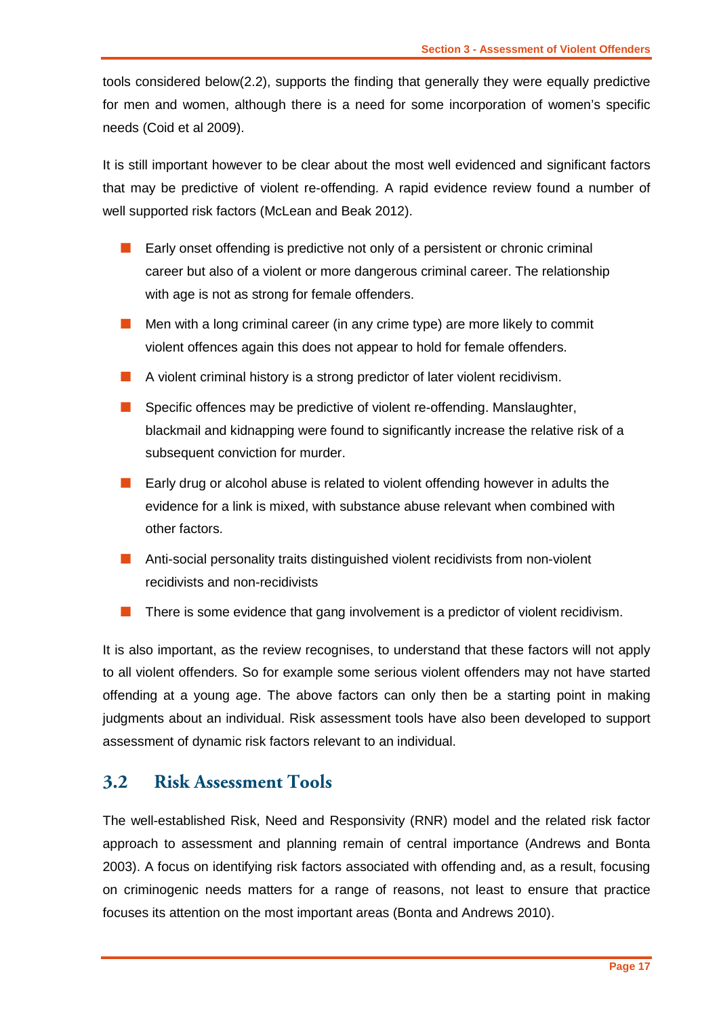tools considered below(2.2), supports the finding that generally they were equally predictive for men and women, although there is a need for some incorporation of women's specific needs (Coid et al 2009).

It is still important however to be clear about the most well evidenced and significant factors that may be predictive of violent re-offending. A rapid evidence review found a number of well supported risk factors (McLean and Beak 2012).

- **Early onset offending is predictive not only of a persistent or chronic criminal** career but also of a violent or more dangerous criminal career. The relationship with age is not as strong for female offenders.
- **Men with a long criminal career (in any crime type) are more likely to commit** violent offences again this does not appear to hold for female offenders.
- A violent criminal history is a strong predictor of later violent recidivism.
- Specific offences may be predictive of violent re-offending. Manslaughter, blackmail and kidnapping were found to significantly increase the relative risk of a subsequent conviction for murder.
- Early drug or alcohol abuse is related to violent offending however in adults the evidence for a link is mixed, with substance abuse relevant when combined with other factors.
- **Anti-social personality traits distinguished violent recidivists from non-violent** recidivists and non-recidivists
- There is some evidence that gang involvement is a predictor of violent recidivism.

It is also important, as the review recognises, to understand that these factors will not apply to all violent offenders. So for example some serious violent offenders may not have started offending at a young age. The above factors can only then be a starting point in making judgments about an individual. Risk assessment tools have also been developed to support assessment of dynamic risk factors relevant to an individual.

## <span id="page-18-0"></span>**3.2 Risk Assessment Tools**

The well-established Risk, Need and Responsivity (RNR) model and the related risk factor approach to assessment and planning remain of central importance (Andrews and Bonta 2003). A focus on identifying risk factors associated with offending and, as a result, focusing on criminogenic needs matters for a range of reasons, not least to ensure that practice focuses its attention on the most important areas (Bonta and Andrews 2010).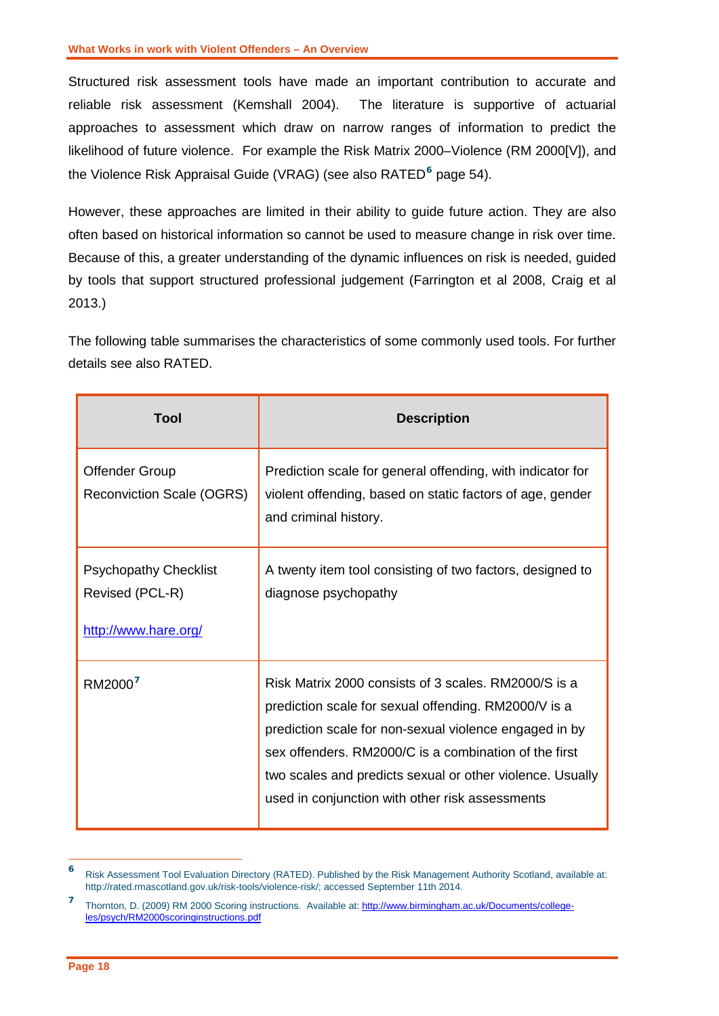Structured risk assessment tools have made an important contribution to accurate and reliable risk assessment (Kemshall 2004). The literature is supportive of actuarial approaches to assessment which draw on narrow ranges of information to predict the likelihood of future violence. For example the Risk Matrix 2000–Violence (RM 2000[V]), and the Violence Risk Appraisal Guide (VRAG) (see also RATED<sup>[6](#page-19-0)</sup> page 54).

However, these approaches are limited in their ability to guide future action. They are also often based on historical information so cannot be used to measure change in risk over time. Because of this, a greater understanding of the dynamic influences on risk is needed, guided by tools that support structured professional judgement (Farrington et al 2008, Craig et al 2013.)

The following table summarises the characteristics of some commonly used tools. For further details see also RATED.

| Tool                                                                    | <b>Description</b>                                                                                                                                                                                                                                                                                                                              |
|-------------------------------------------------------------------------|-------------------------------------------------------------------------------------------------------------------------------------------------------------------------------------------------------------------------------------------------------------------------------------------------------------------------------------------------|
| <b>Offender Group</b><br><b>Reconviction Scale (OGRS)</b>               | Prediction scale for general offending, with indicator for<br>violent offending, based on static factors of age, gender<br>and criminal history.                                                                                                                                                                                                |
| <b>Psychopathy Checklist</b><br>Revised (PCL-R)<br>http://www.hare.org/ | A twenty item tool consisting of two factors, designed to<br>diagnose psychopathy                                                                                                                                                                                                                                                               |
| RM2000 <sup>7</sup>                                                     | Risk Matrix 2000 consists of 3 scales. RM2000/S is a<br>prediction scale for sexual offending. RM2000/V is a<br>prediction scale for non-sexual violence engaged in by<br>sex offenders. RM2000/C is a combination of the first<br>two scales and predicts sexual or other violence. Usually<br>used in conjunction with other risk assessments |

<span id="page-19-0"></span>**<sup>6</sup>** Risk Assessment Tool Evaluation Directory (RATED). Published by the Risk Management Authority Scotland, available at: http://rated.rmascotland.gov.uk/risk-tools/violence-risk/; accessed September 11th 2014.

 $\overline{a}$ 

<span id="page-19-1"></span>**<sup>7</sup>** Thornton, D. (2009) RM 2000 Scoring instructions. Available at: [http://www.birmingham.ac.uk/Documents/college](http://www.birmingham.ac.uk/Documents/college-les/psych/RM2000scoringinstructions.pdf)[les/psych/RM2000scoringinstructions.pdf](http://www.birmingham.ac.uk/Documents/college-les/psych/RM2000scoringinstructions.pdf)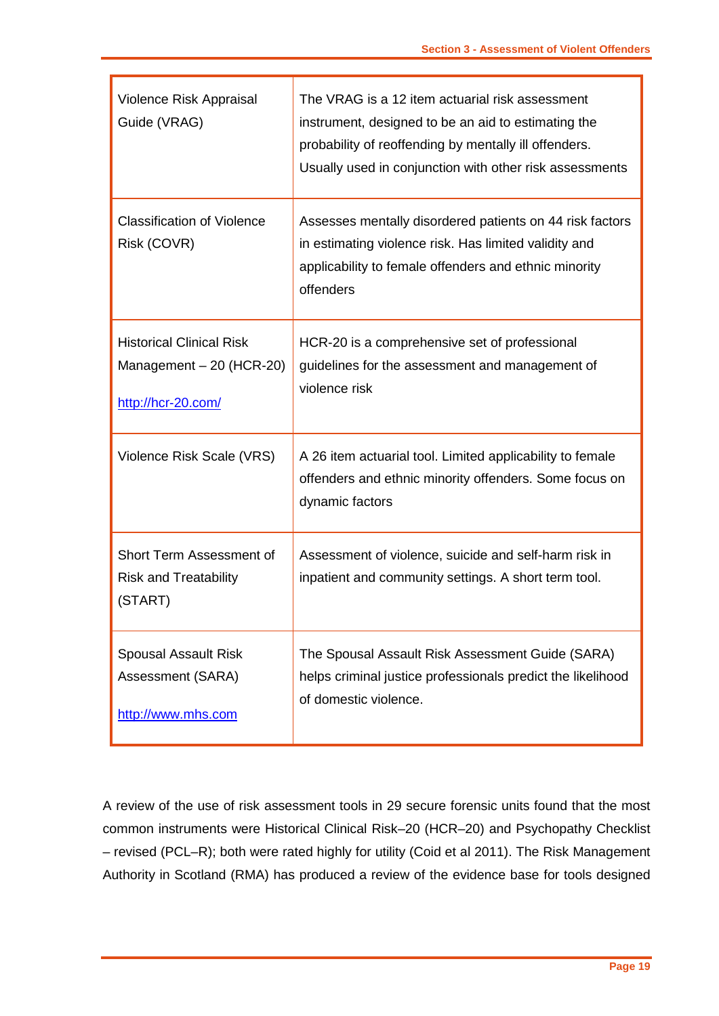| Violence Risk Appraisal<br>Guide (VRAG)                                            | The VRAG is a 12 item actuarial risk assessment<br>instrument, designed to be an aid to estimating the<br>probability of reoffending by mentally ill offenders.<br>Usually used in conjunction with other risk assessments |
|------------------------------------------------------------------------------------|----------------------------------------------------------------------------------------------------------------------------------------------------------------------------------------------------------------------------|
| <b>Classification of Violence</b><br>Risk (COVR)                                   | Assesses mentally disordered patients on 44 risk factors<br>in estimating violence risk. Has limited validity and<br>applicability to female offenders and ethnic minority<br>offenders                                    |
| <b>Historical Clinical Risk</b><br>Management $-20$ (HCR-20)<br>http://hcr-20.com/ | HCR-20 is a comprehensive set of professional<br>guidelines for the assessment and management of<br>violence risk                                                                                                          |
| Violence Risk Scale (VRS)                                                          | A 26 item actuarial tool. Limited applicability to female<br>offenders and ethnic minority offenders. Some focus on<br>dynamic factors                                                                                     |
| Short Term Assessment of<br><b>Risk and Treatability</b><br>(START)                | Assessment of violence, suicide and self-harm risk in<br>inpatient and community settings. A short term tool.                                                                                                              |
| <b>Spousal Assault Risk</b><br>Assessment (SARA)<br>http://www.mhs.com             | The Spousal Assault Risk Assessment Guide (SARA)<br>helps criminal justice professionals predict the likelihood<br>of domestic violence.                                                                                   |

 $\overline{\phantom{a}}$ 

A review of the use of risk assessment tools in 29 secure forensic units found that the most common instruments were Historical Clinical Risk–20 (HCR–20) and Psychopathy Checklist – revised (PCL–R); both were rated highly for utility (Coid et al 2011). The Risk Management Authority in Scotland (RMA) has produced a review of the evidence base for tools designed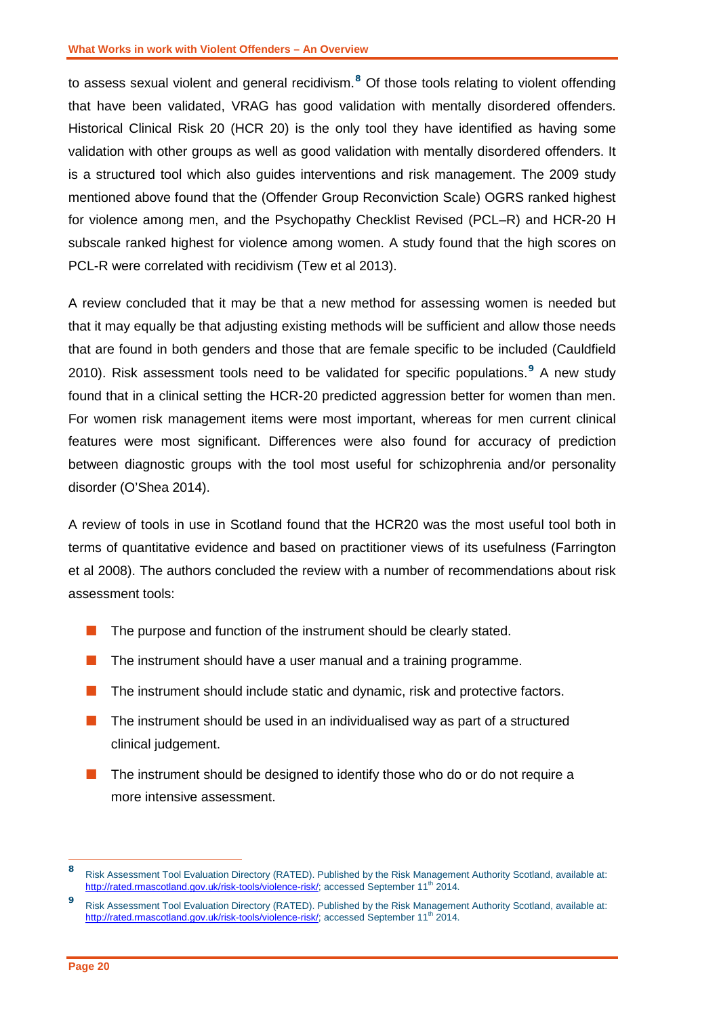to assess sexual violent and general recidivism.**[8](#page-21-0)** Of those tools relating to violent offending that have been validated, VRAG has good validation with mentally disordered offenders. Historical Clinical Risk 20 (HCR 20) is the only tool they have identified as having some validation with other groups as well as good validation with mentally disordered offenders. It is a structured tool which also guides interventions and risk management. The 2009 study mentioned above found that the (Offender Group Reconviction Scale) OGRS ranked highest for violence among men, and the Psychopathy Checklist Revised (PCL–R) and HCR-20 H subscale ranked highest for violence among women. A study found that the high scores on PCL-R were correlated with recidivism (Tew et al 2013).

A review concluded that it may be that a new method for assessing women is needed but that it may equally be that adjusting existing methods will be sufficient and allow those needs that are found in both genders and those that are female specific to be included (Cauldfield 2010). Risk assessment tools need to be validated for specific populations.<sup>[9](#page-21-1)</sup> A new study found that in a clinical setting the HCR-20 predicted aggression better for women than men. For women risk management items were most important, whereas for men current clinical features were most significant. Differences were also found for accuracy of prediction between diagnostic groups with the tool most useful for schizophrenia and/or personality disorder (O'Shea 2014).

A review of tools in use in Scotland found that the HCR20 was the most useful tool both in terms of quantitative evidence and based on practitioner views of its usefulness (Farrington et al 2008). The authors concluded the review with a number of recommendations about risk assessment tools:

- $\blacksquare$  The purpose and function of the instrument should be clearly stated.
- **The instrument should have a user manual and a training programme.**
- $\blacksquare$  The instrument should include static and dynamic, risk and protective factors.
- $\blacksquare$  The instrument should be used in an individualised way as part of a structured clinical judgement.
- **The instrument should be designed to identify those who do or do not require a** more intensive assessment.

<span id="page-21-0"></span>**<sup>8</sup>** Risk Assessment Tool Evaluation Directory (RATED). Published by the Risk Management Authority Scotland, available at: [http://rated.rmascotland.gov.uk/risk-tools/violence-risk/;](http://rated.rmascotland.gov.uk/risk-tools/violence-risk/) accessed September 11<sup>th</sup> 2014. 8

<span id="page-21-1"></span>**<sup>9</sup>** Risk Assessment Tool Evaluation Directory (RATED). Published by the Risk Management Authority Scotland, available at: [http://rated.rmascotland.gov.uk/risk-tools/violence-risk/;](http://rated.rmascotland.gov.uk/risk-tools/violence-risk/) accessed September 11<sup>th</sup> 2014.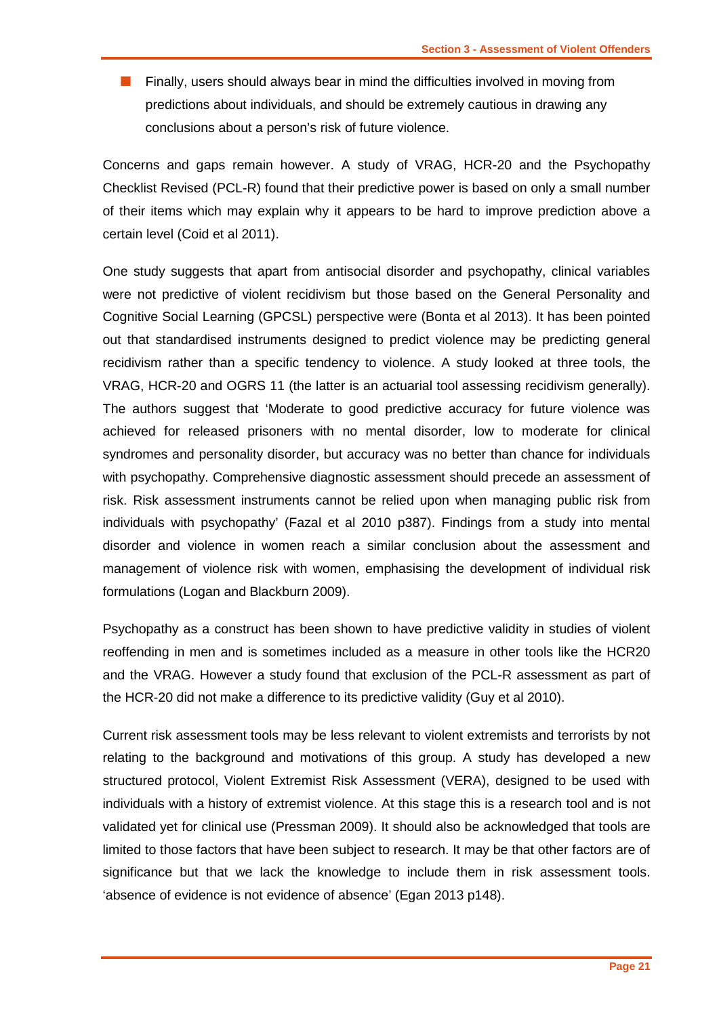**Finally, users should always bear in mind the difficulties involved in moving from** predictions about individuals, and should be extremely cautious in drawing any conclusions about a person's risk of future violence.

Concerns and gaps remain however. A study of VRAG, HCR-20 and the Psychopathy Checklist Revised (PCL-R) found that their predictive power is based on only a small number of their items which may explain why it appears to be hard to improve prediction above a certain level (Coid et al 2011).

One study suggests that apart from antisocial disorder and psychopathy, clinical variables were not predictive of violent recidivism but those based on the General Personality and Cognitive Social Learning (GPCSL) perspective were (Bonta et al 2013). It has been pointed out that standardised instruments designed to predict violence may be predicting general recidivism rather than a specific tendency to violence. A study looked at three tools, the VRAG, HCR-20 and OGRS 11 (the latter is an actuarial tool assessing recidivism generally). The authors suggest that 'Moderate to good predictive accuracy for future violence was achieved for released prisoners with no mental disorder, low to moderate for clinical syndromes and personality disorder, but accuracy was no better than chance for individuals with psychopathy. Comprehensive diagnostic assessment should precede an assessment of risk. Risk assessment instruments cannot be relied upon when managing public risk from individuals with psychopathy' (Fazal et al 2010 p387). Findings from a study into mental disorder and violence in women reach a similar conclusion about the assessment and management of violence risk with women, emphasising the development of individual risk formulations (Logan and Blackburn 2009).

Psychopathy as a construct has been shown to have predictive validity in studies of violent reoffending in men and is sometimes included as a measure in other tools like the HCR20 and the VRAG. However a study found that exclusion of the PCL-R assessment as part of the HCR-20 did not make a difference to its predictive validity (Guy et al 2010).

Current risk assessment tools may be less relevant to violent extremists and terrorists by not relating to the background and motivations of this group. A study has developed a new structured protocol, Violent Extremist Risk Assessment (VERA), designed to be used with individuals with a history of extremist violence. At this stage this is a research tool and is not validated yet for clinical use (Pressman 2009). It should also be acknowledged that tools are limited to those factors that have been subject to research. It may be that other factors are of significance but that we lack the knowledge to include them in risk assessment tools. 'absence of evidence is not evidence of absence' (Egan 2013 p148).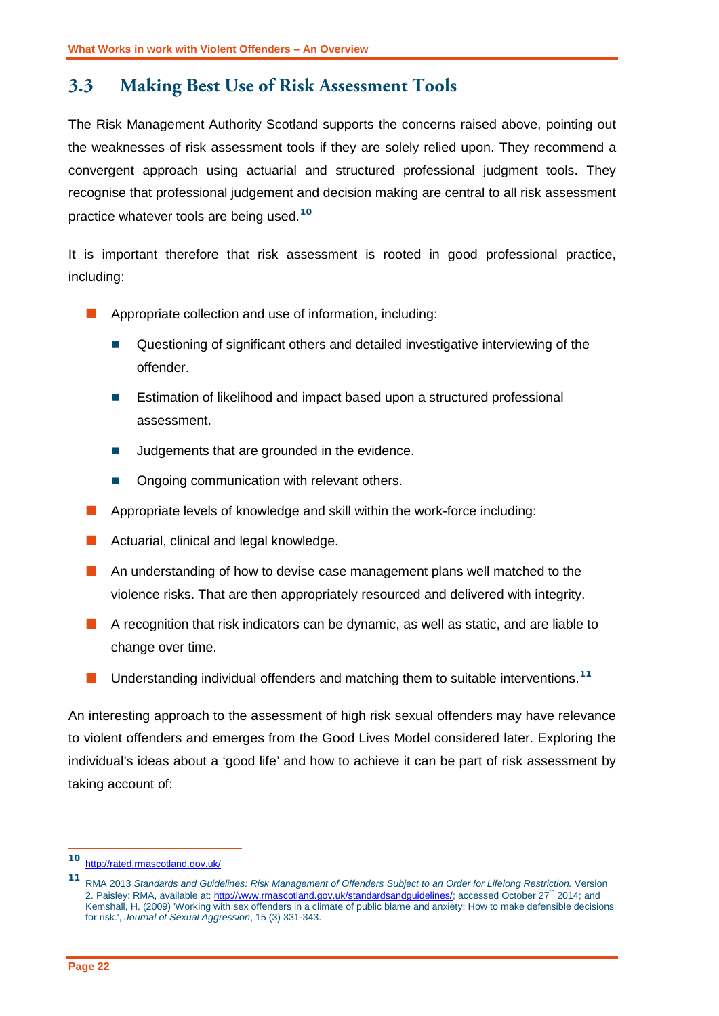## <span id="page-23-0"></span>**3.3 Making Best Use of Risk Assessment Tools**

The Risk Management Authority Scotland supports the concerns raised above, pointing out the weaknesses of risk assessment tools if they are solely relied upon. They recommend a convergent approach using actuarial and structured professional judgment tools. They recognise that professional judgement and decision making are central to all risk assessment practice whatever tools are being used.**[10](#page-23-1)**

It is important therefore that risk assessment is rooted in good professional practice, including:

- Appropriate collection and use of information, including:
	- Questioning of significant others and detailed investigative interviewing of the offender.
	- Estimation of likelihood and impact based upon a structured professional assessment.
	- Judgements that are grounded in the evidence.
	- Ongoing communication with relevant others.
- $\blacksquare$  Appropriate levels of knowledge and skill within the work-force including:
- **Actuarial, clinical and legal knowledge.**
- An understanding of how to devise case management plans well matched to the violence risks. That are then appropriately resourced and delivered with integrity.
- A recognition that risk indicators can be dynamic, as well as static, and are liable to change over time.
- Understanding individual offenders and matching them to suitable interventions.<sup>[11](#page-23-2)</sup>

An interesting approach to the assessment of high risk sexual offenders may have relevance to violent offenders and emerges from the Good Lives Model considered later. Exploring the individual's ideas about a 'good life' and how to achieve it can be part of risk assessment by taking account of:

-

<span id="page-23-1"></span>**<sup>10</sup>** <http://rated.rmascotland.gov.uk/>

<span id="page-23-2"></span>**<sup>11</sup>** RMA 2013 *Standards and Guidelines: Risk Management of Offenders Subject to an Order for Lifelong Restriction.* Version 2. Paisley: RMA, available at: [http://www.rmascotland.gov.uk/standardsandguidelines/;](http://www.rmascotland.gov.uk/standardsandguidelines/) accessed October 27<sup>th</sup> 2014; and Kemshall, H. (2009) 'Working with sex offenders in a climate of public blame and anxiety: How to make defensible decisions for risk.', *Journal of Sexual Aggression*, 15 (3) 331-343.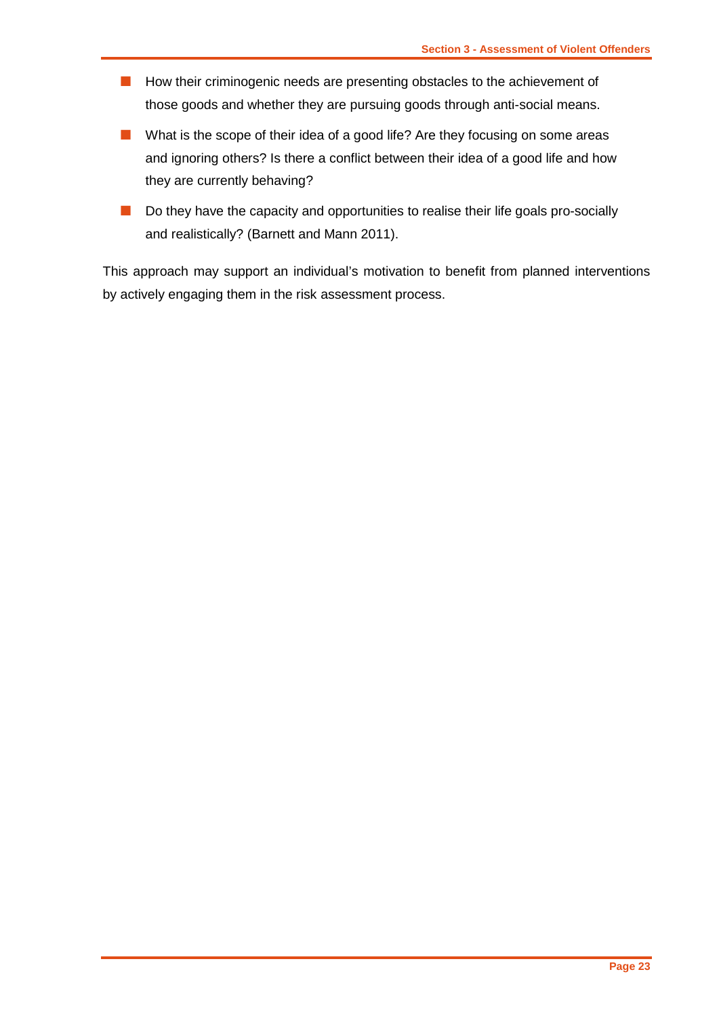- **How their criminogenic needs are presenting obstacles to the achievement of** those goods and whether they are pursuing goods through anti-social means.
- What is the scope of their idea of a good life? Are they focusing on some areas and ignoring others? Is there a conflict between their idea of a good life and how they are currently behaving?
- Do they have the capacity and opportunities to realise their life goals pro-socially and realistically? (Barnett and Mann 2011).

This approach may support an individual's motivation to benefit from planned interventions by actively engaging them in the risk assessment process.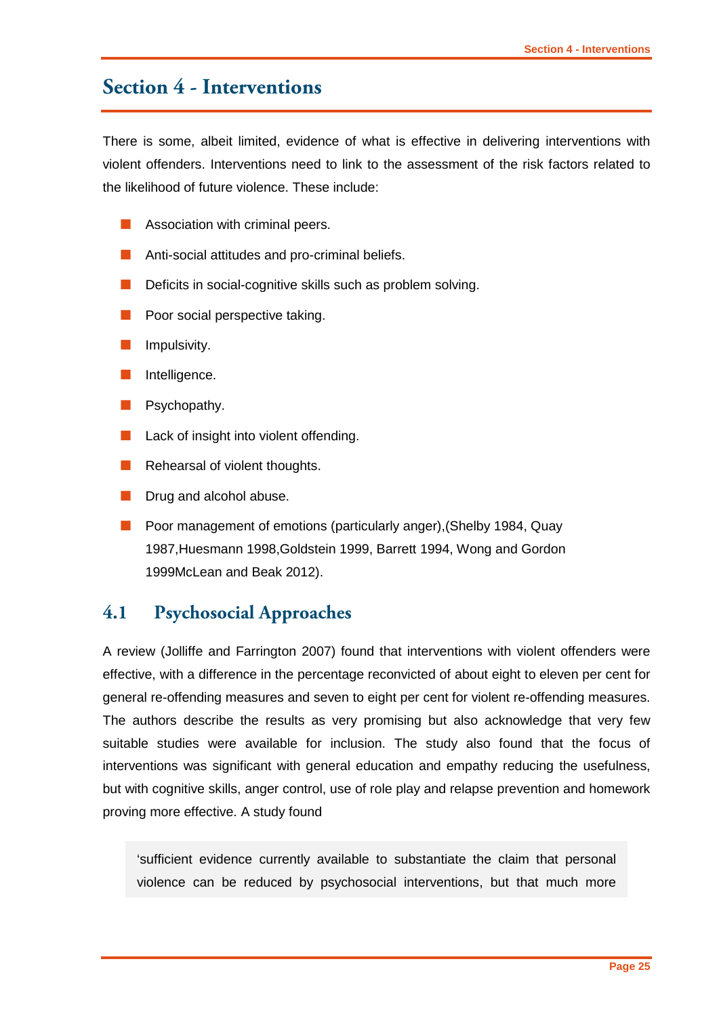## <span id="page-26-0"></span>**Section 4 - Interventions**

There is some, albeit limited, evidence of what is effective in delivering interventions with violent offenders. Interventions need to link to the assessment of the risk factors related to the likelihood of future violence. These include:

- **Association with criminal peers.**
- **Anti-social attitudes and pro-criminal beliefs.**
- Deficits in social-cognitive skills such as problem solving.
- Poor social perspective taking.
- Impulsivity.
- Intelligence.
- **Psychopathy.**
- **Lack of insight into violent offending.**
- Rehearsal of violent thoughts.
- Drug and alcohol abuse.
- **Poor management of emotions (particularly anger), (Shelby 1984, Quay** 1987,Huesmann 1998,Goldstein 1999, Barrett 1994, Wong and Gordon 1999McLean and Beak 2012).

#### <span id="page-26-1"></span>**4.1 Psychosocial Approaches**

A review (Jolliffe and Farrington 2007) found that interventions with violent offenders were effective, with a difference in the percentage reconvicted of about eight to eleven per cent for general re-offending measures and seven to eight per cent for violent re-offending measures. The authors describe the results as very promising but also acknowledge that very few suitable studies were available for inclusion. The study also found that the focus of interventions was significant with general education and empathy reducing the usefulness, but with cognitive skills, anger control, use of role play and relapse prevention and homework proving more effective. A study found

'sufficient evidence currently available to substantiate the claim that personal violence can be reduced by psychosocial interventions, but that much more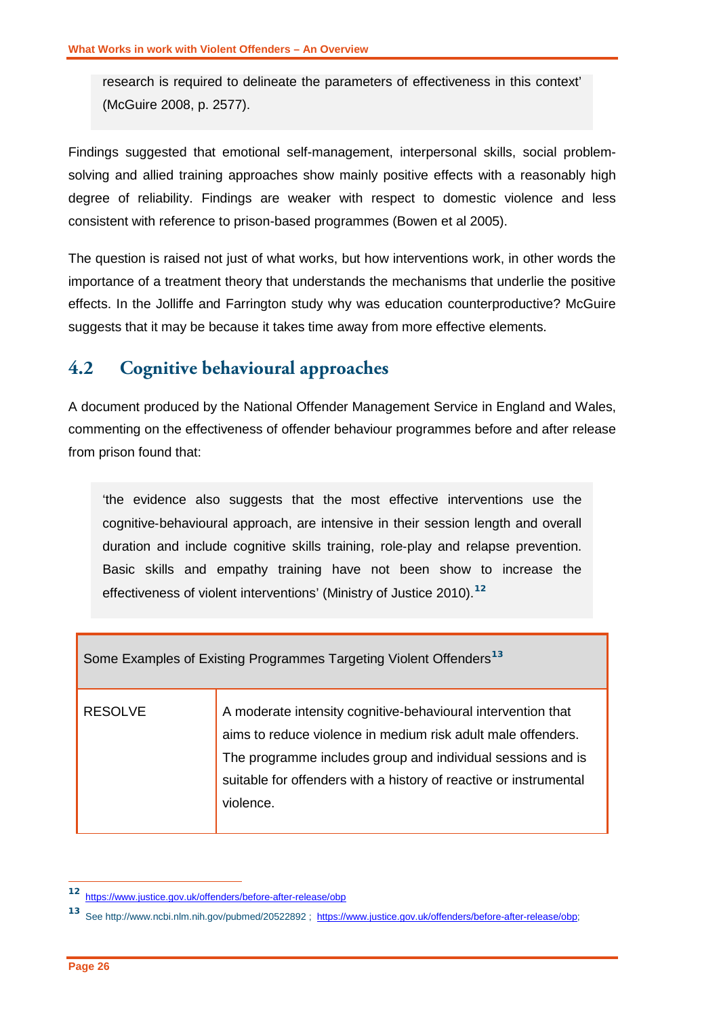research is required to delineate the parameters of effectiveness in this context' (McGuire 2008, p. 2577).

Findings suggested that emotional self-management, interpersonal skills, social problemsolving and allied training approaches show mainly positive effects with a reasonably high degree of reliability. Findings are weaker with respect to domestic violence and less consistent with reference to prison-based programmes (Bowen et al 2005).

The question is raised not just of what works, but how interventions work, in other words the importance of a treatment theory that understands the mechanisms that underlie the positive effects. In the Jolliffe and Farrington study why was education counterproductive? McGuire suggests that it may be because it takes time away from more effective elements.

## <span id="page-27-0"></span>**4.2 Cognitive behavioural approaches**

A document produced by the National Offender Management Service in England and Wales, commenting on the effectiveness of offender behaviour programmes before and after release from prison found that:

'the evidence also suggests that the most effective interventions use the cognitive‐behavioural approach, are intensive in their session length and overall duration and include cognitive skills training, role‐play and relapse prevention. Basic skills and empathy training have not been show to increase the effectiveness of violent interventions' (Ministry of Justice 2010).**[12](#page-27-1)**

| Some Examples of Existing Programmes Targeting Violent Offenders <sup>13</sup> |                                                                                                                                                                                                                                                                               |  |  |  |
|--------------------------------------------------------------------------------|-------------------------------------------------------------------------------------------------------------------------------------------------------------------------------------------------------------------------------------------------------------------------------|--|--|--|
| <b>RESOLVE</b>                                                                 | A moderate intensity cognitive-behavioural intervention that<br>aims to reduce violence in medium risk adult male offenders.<br>The programme includes group and individual sessions and is<br>suitable for offenders with a history of reactive or instrumental<br>violence. |  |  |  |

**<sup>12</sup>** <https://www.justice.gov.uk/offenders/before-after-release/obp>  $\overline{a}$ 

<span id="page-27-2"></span><span id="page-27-1"></span>**<sup>13</sup>** See http://www.ncbi.nlm.nih.gov/pubmed/20522892 ; [https://www.justice.gov.uk/offenders/before-after-release/obp;](https://www.justice.gov.uk/offenders/before-after-release/obp)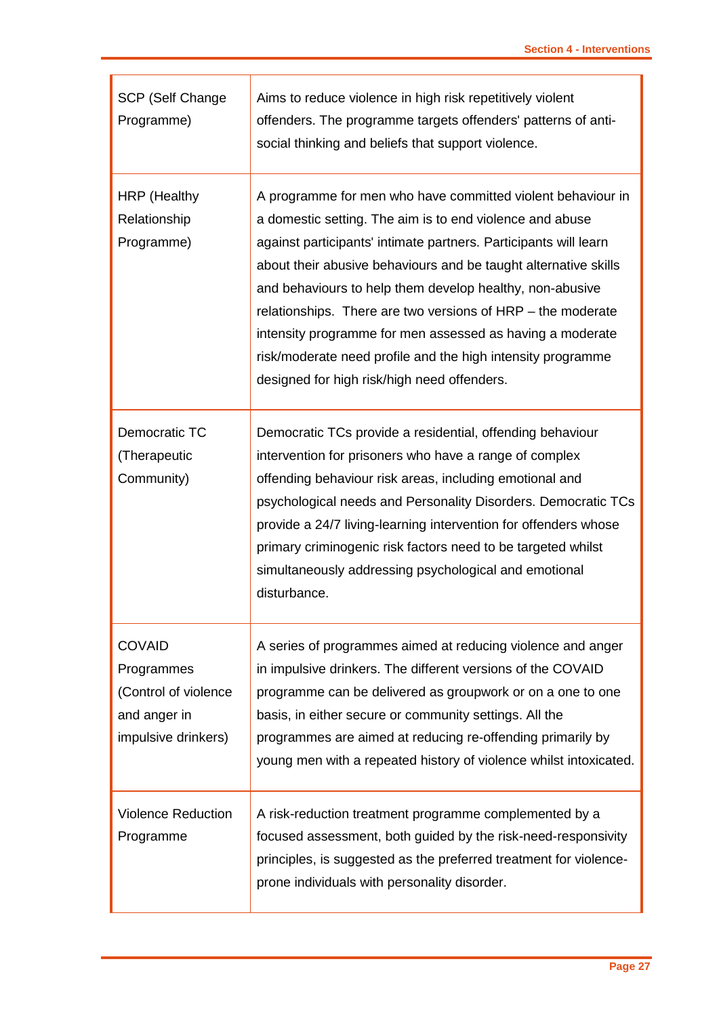| SCP (Self Change<br>Programme)                                                             | Aims to reduce violence in high risk repetitively violent<br>offenders. The programme targets offenders' patterns of anti-<br>social thinking and beliefs that support violence.                                                                                                                                                                                                                                                                                                                                                                                     |  |
|--------------------------------------------------------------------------------------------|----------------------------------------------------------------------------------------------------------------------------------------------------------------------------------------------------------------------------------------------------------------------------------------------------------------------------------------------------------------------------------------------------------------------------------------------------------------------------------------------------------------------------------------------------------------------|--|
| <b>HRP</b> (Healthy<br>Relationship<br>Programme)                                          | A programme for men who have committed violent behaviour in<br>a domestic setting. The aim is to end violence and abuse<br>against participants' intimate partners. Participants will learn<br>about their abusive behaviours and be taught alternative skills<br>and behaviours to help them develop healthy, non-abusive<br>relationships. There are two versions of HRP – the moderate<br>intensity programme for men assessed as having a moderate<br>risk/moderate need profile and the high intensity programme<br>designed for high risk/high need offenders. |  |
| Democratic TC<br>(Therapeutic<br>Community)                                                | Democratic TCs provide a residential, offending behaviour<br>intervention for prisoners who have a range of complex<br>offending behaviour risk areas, including emotional and<br>psychological needs and Personality Disorders. Democratic TCs<br>provide a 24/7 living-learning intervention for offenders whose<br>primary criminogenic risk factors need to be targeted whilst<br>simultaneously addressing psychological and emotional<br>disturbance.                                                                                                          |  |
| <b>COVAID</b><br>Programmes<br>(Control of violence<br>and anger in<br>impulsive drinkers) | A series of programmes aimed at reducing violence and anger<br>in impulsive drinkers. The different versions of the COVAID<br>programme can be delivered as groupwork or on a one to one<br>basis, in either secure or community settings. All the<br>programmes are aimed at reducing re-offending primarily by<br>young men with a repeated history of violence whilst intoxicated.                                                                                                                                                                                |  |
| <b>Violence Reduction</b><br>Programme                                                     | A risk-reduction treatment programme complemented by a<br>focused assessment, both guided by the risk-need-responsivity<br>principles, is suggested as the preferred treatment for violence-<br>prone individuals with personality disorder.                                                                                                                                                                                                                                                                                                                         |  |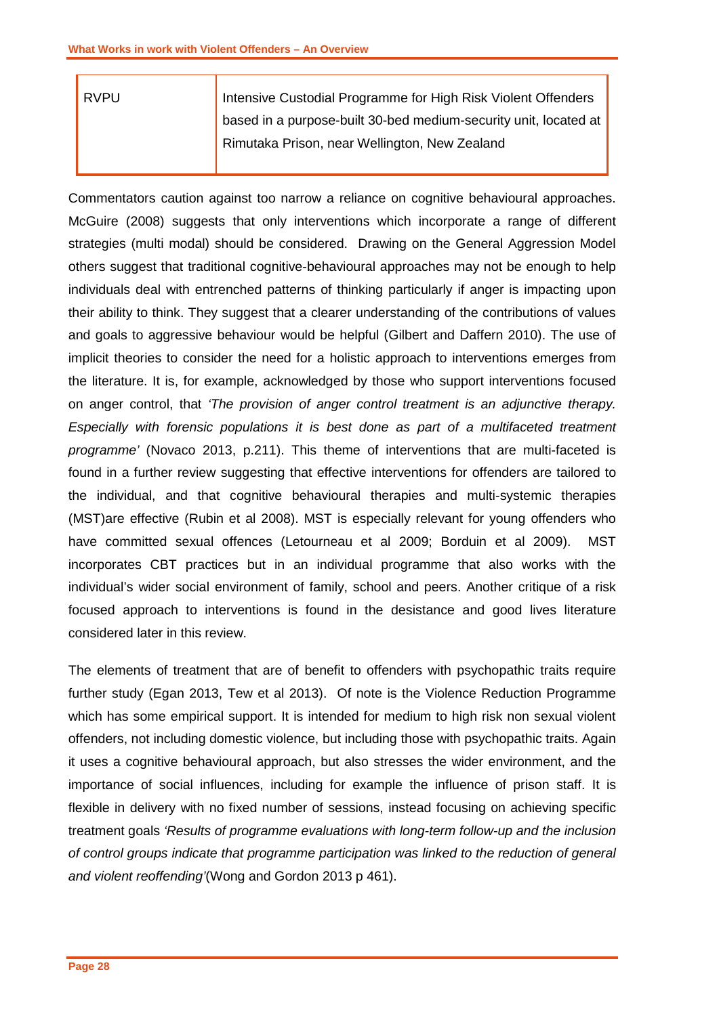| <b>RVPU</b> | Intensive Custodial Programme for High Risk Violent Offenders    |
|-------------|------------------------------------------------------------------|
|             | based in a purpose-built 30-bed medium-security unit, located at |
|             | Rimutaka Prison, near Wellington, New Zealand                    |
|             |                                                                  |

Commentators caution against too narrow a reliance on cognitive behavioural approaches. McGuire (2008) suggests that only interventions which incorporate a range of different strategies (multi modal) should be considered. Drawing on the General Aggression Model others suggest that traditional cognitive-behavioural approaches may not be enough to help individuals deal with entrenched patterns of thinking particularly if anger is impacting upon their ability to think. They suggest that a clearer understanding of the contributions of values and goals to aggressive behaviour would be helpful (Gilbert and Daffern 2010). The use of implicit theories to consider the need for a holistic approach to interventions emerges from the literature. It is, for example, acknowledged by those who support interventions focused on anger control, that *'The provision of anger control treatment is an adjunctive therapy. Especially with forensic populations it is best done as part of a multifaceted treatment programme'* (Novaco 2013, p.211). This theme of interventions that are multi-faceted is found in a further review suggesting that effective interventions for offenders are tailored to the individual, and that cognitive behavioural therapies and multi-systemic therapies (MST)are effective (Rubin et al 2008). MST is especially relevant for young offenders who have committed sexual offences (Letourneau et al 2009; Borduin et al 2009). MST incorporates CBT practices but in an individual programme that also works with the individual's wider social environment of family, school and peers. Another critique of a risk focused approach to interventions is found in the desistance and good lives literature considered later in this review.

The elements of treatment that are of benefit to offenders with psychopathic traits require further study (Egan 2013, Tew et al 2013). Of note is the Violence Reduction Programme which has some empirical support. It is intended for medium to high risk non sexual violent offenders, not including domestic violence, but including those with psychopathic traits. Again it uses a cognitive behavioural approach, but also stresses the wider environment, and the importance of social influences, including for example the influence of prison staff. It is flexible in delivery with no fixed number of sessions, instead focusing on achieving specific treatment goals *'Results of programme evaluations with long-term follow-up and the inclusion of control groups indicate that programme participation was linked to the reduction of general and violent reoffending'*(Wong and Gordon 2013 p 461).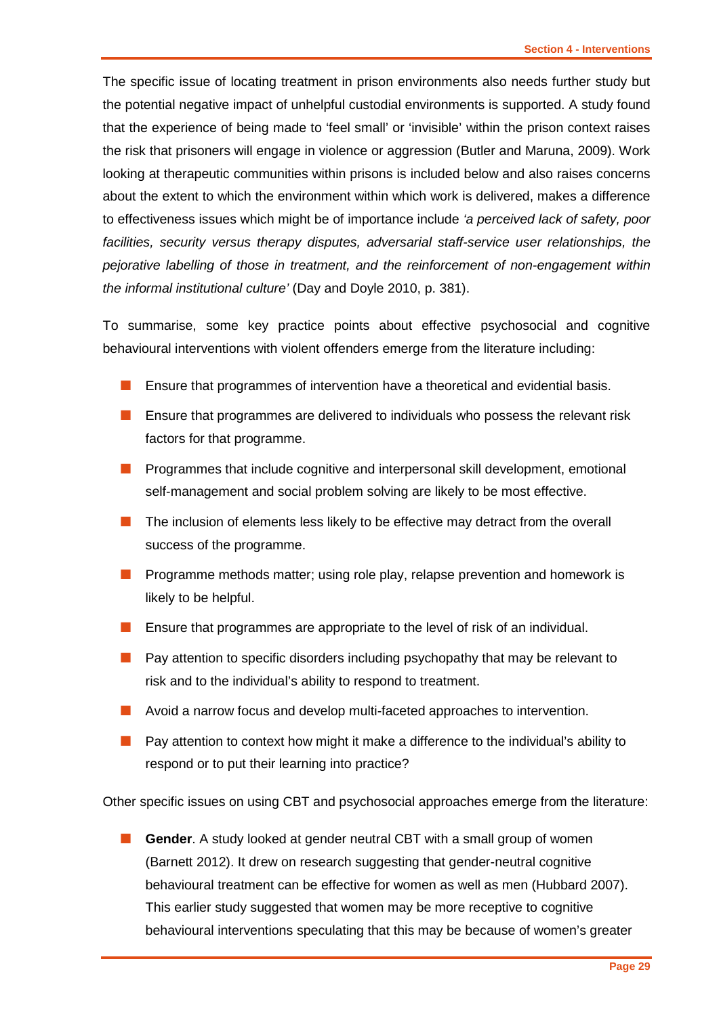The specific issue of locating treatment in prison environments also needs further study but the potential negative impact of unhelpful custodial environments is supported. A study found that the experience of being made to 'feel small' or 'invisible' within the prison context raises the risk that prisoners will engage in violence or aggression (Butler and Maruna, 2009). Work looking at therapeutic communities within prisons is included below and also raises concerns about the extent to which the environment within which work is delivered, makes a difference to effectiveness issues which might be of importance include *'a perceived lack of safety, poor*  facilities, security versus therapy disputes, adversarial staff-service user relationships, the *pejorative labelling of those in treatment, and the reinforcement of non-engagement within the informal institutional culture'* (Day and Doyle 2010, p. 381).

To summarise, some key practice points about effective psychosocial and cognitive behavioural interventions with violent offenders emerge from the literature including:

- **E** Ensure that programmes of intervention have a theoretical and evidential basis.
- Ensure that programmes are delivered to individuals who possess the relevant risk factors for that programme.
- **Programmes that include cognitive and interpersonal skill development, emotional** self-management and social problem solving are likely to be most effective.
- $\blacksquare$  The inclusion of elements less likely to be effective may detract from the overall success of the programme.
- **Programme methods matter; using role play, relapse prevention and homework is** likely to be helpful.
- **E** Ensure that programmes are appropriate to the level of risk of an individual.
- **Pay attention to specific disorders including psychopathy that may be relevant to** risk and to the individual's ability to respond to treatment.
- Avoid a narrow focus and develop multi-faceted approaches to intervention.
- **Pay attention to context how might it make a difference to the individual's ability to** respond or to put their learning into practice?

Other specific issues on using CBT and psychosocial approaches emerge from the literature:

 **Gender**. A study looked at gender neutral CBT with a small group of women (Barnett 2012). It drew on research suggesting that gender-neutral cognitive behavioural treatment can be effective for women as well as men (Hubbard 2007). This earlier study suggested that women may be more receptive to cognitive behavioural interventions speculating that this may be because of women's greater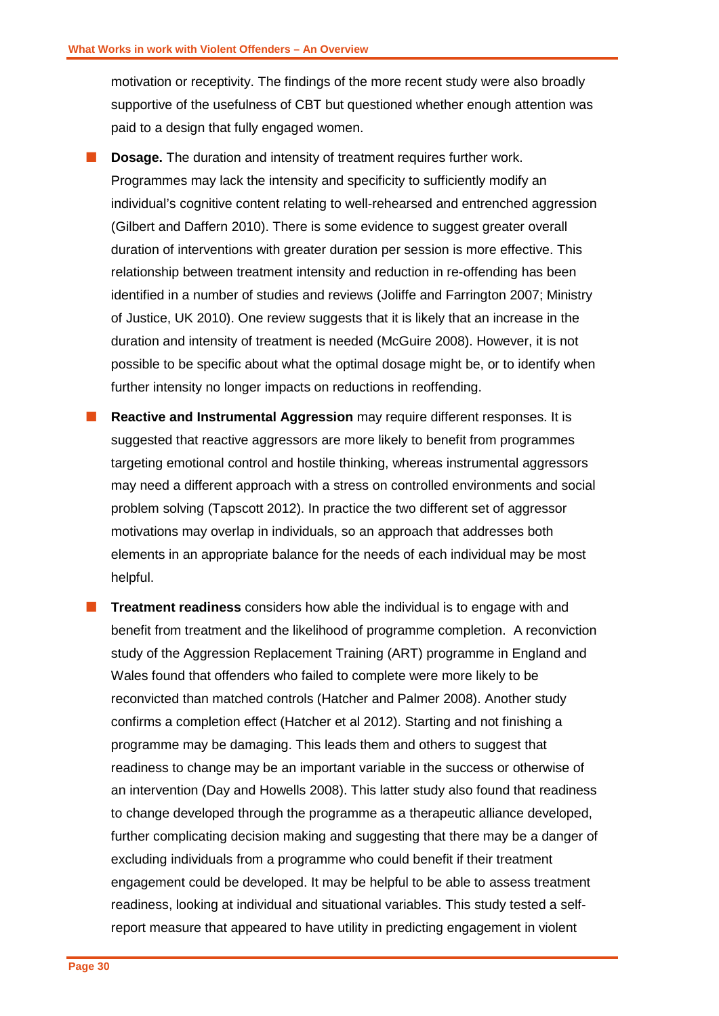motivation or receptivity. The findings of the more recent study were also broadly supportive of the usefulness of CBT but questioned whether enough attention was paid to a design that fully engaged women.

- **Dosage.** The duration and intensity of treatment requires further work. Programmes may lack the intensity and specificity to sufficiently modify an individual's cognitive content relating to well-rehearsed and entrenched aggression (Gilbert and Daffern 2010). There is some evidence to suggest greater overall duration of interventions with greater duration per session is more effective. This relationship between treatment intensity and reduction in re-offending has been identified in a number of studies and reviews (Joliffe and Farrington 2007; Ministry of Justice, UK 2010). One review suggests that it is likely that an increase in the duration and intensity of treatment is needed (McGuire 2008). However, it is not possible to be specific about what the optimal dosage might be, or to identify when further intensity no longer impacts on reductions in reoffending.
- **Reactive and Instrumental Aggression** may require different responses. It is suggested that reactive aggressors are more likely to benefit from programmes targeting emotional control and hostile thinking, whereas instrumental aggressors may need a different approach with a stress on controlled environments and social problem solving (Tapscott 2012). In practice the two different set of aggressor motivations may overlap in individuals, so an approach that addresses both elements in an appropriate balance for the needs of each individual may be most helpful.
- **Treatment readiness** considers how able the individual is to engage with and benefit from treatment and the likelihood of programme completion. A reconviction study of the Aggression Replacement Training (ART) programme in England and Wales found that offenders who failed to complete were more likely to be reconvicted than matched controls (Hatcher and Palmer 2008). Another study confirms a completion effect (Hatcher et al 2012). Starting and not finishing a programme may be damaging. This leads them and others to suggest that readiness to change may be an important variable in the success or otherwise of an intervention (Day and Howells 2008). This latter study also found that readiness to change developed through the programme as a therapeutic alliance developed, further complicating decision making and suggesting that there may be a danger of excluding individuals from a programme who could benefit if their treatment engagement could be developed. It may be helpful to be able to assess treatment readiness, looking at individual and situational variables. This study tested a selfreport measure that appeared to have utility in predicting engagement in violent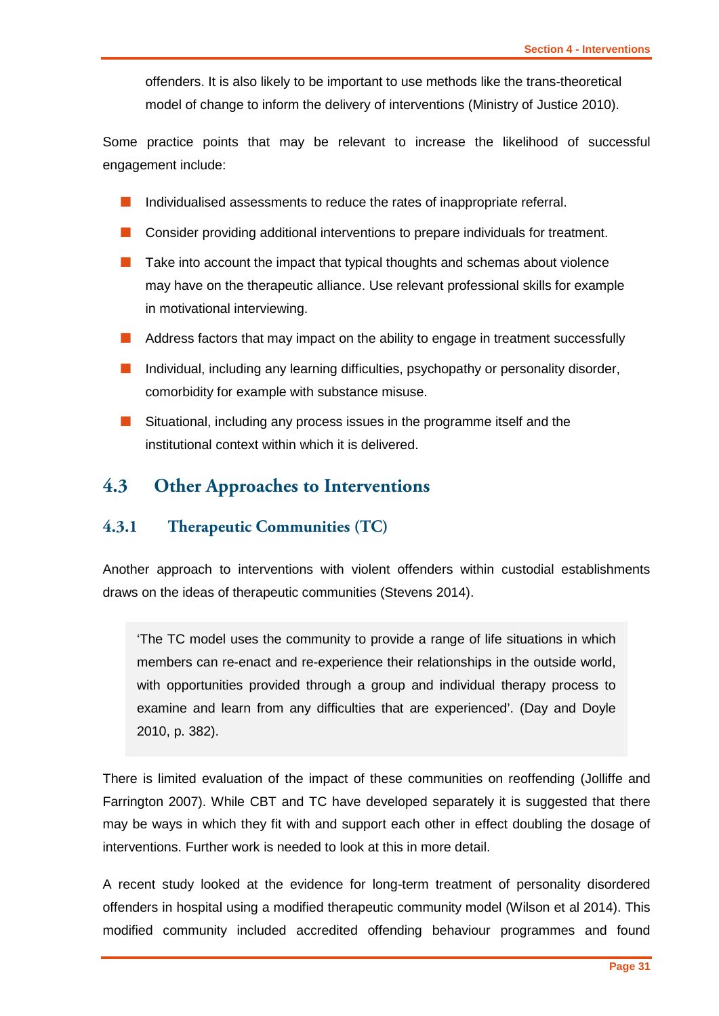offenders. It is also likely to be important to use methods like the trans-theoretical model of change to inform the delivery of interventions (Ministry of Justice 2010).

Some practice points that may be relevant to increase the likelihood of successful engagement include:

- Individualised assessments to reduce the rates of inappropriate referral.
- Consider providing additional interventions to prepare individuals for treatment.
- $\blacksquare$  Take into account the impact that typical thoughts and schemas about violence may have on the therapeutic alliance. Use relevant professional skills for example in motivational interviewing.
- Address factors that may impact on the ability to engage in treatment successfully
- $\blacksquare$  Individual, including any learning difficulties, psychopathy or personality disorder, comorbidity for example with substance misuse.
- Situational, including any process issues in the programme itself and the institutional context within which it is delivered.

## <span id="page-32-0"></span>**4.3 Other Approaches to Interventions**

#### <span id="page-32-1"></span>**4.3.1 Therapeutic Communities (TC)**

Another approach to interventions with violent offenders within custodial establishments draws on the ideas of therapeutic communities (Stevens 2014).

'The TC model uses the community to provide a range of life situations in which members can re-enact and re-experience their relationships in the outside world, with opportunities provided through a group and individual therapy process to examine and learn from any difficulties that are experienced'. (Day and Doyle 2010, p. 382).

There is limited evaluation of the impact of these communities on reoffending (Jolliffe and Farrington 2007). While CBT and TC have developed separately it is suggested that there may be ways in which they fit with and support each other in effect doubling the dosage of interventions. Further work is needed to look at this in more detail.

A recent study looked at the evidence for long-term treatment of personality disordered offenders in hospital using a modified therapeutic community model (Wilson et al 2014). This modified community included accredited offending behaviour programmes and found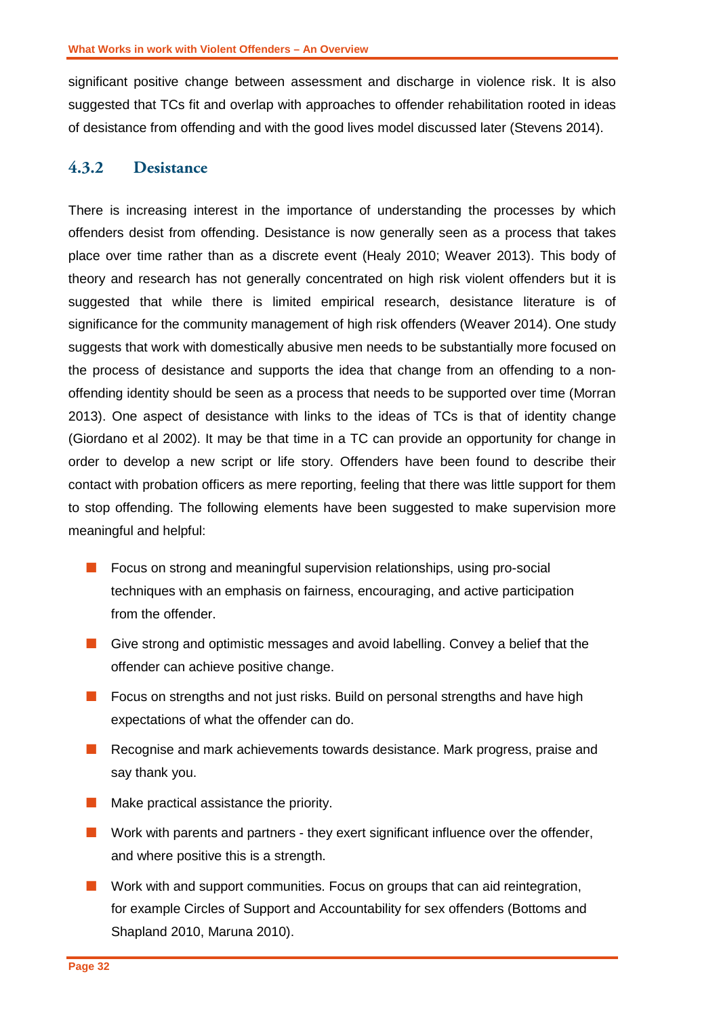significant positive change between assessment and discharge in violence risk. It is also suggested that TCs fit and overlap with approaches to offender rehabilitation rooted in ideas of desistance from offending and with the good lives model discussed later (Stevens 2014).

#### <span id="page-33-0"></span>**4.3.2 Desistance**

There is increasing interest in the importance of understanding the processes by which offenders desist from offending. Desistance is now generally seen as a process that takes place over time rather than as a discrete event (Healy 2010; Weaver 2013). This body of theory and research has not generally concentrated on high risk violent offenders but it is suggested that while there is limited empirical research, desistance literature is of significance for the community management of high risk offenders (Weaver 2014). One study suggests that work with domestically abusive men needs to be substantially more focused on the process of desistance and supports the idea that change from an offending to a nonoffending identity should be seen as a process that needs to be supported over time (Morran 2013). One aspect of desistance with links to the ideas of TCs is that of identity change (Giordano et al 2002). It may be that time in a TC can provide an opportunity for change in order to develop a new script or life story. Offenders have been found to describe their contact with probation officers as mere reporting, feeling that there was little support for them to stop offending. The following elements have been suggested to make supervision more meaningful and helpful:

- **Focus on strong and meaningful supervision relationships, using pro-social** techniques with an emphasis on fairness, encouraging, and active participation from the offender.
- Give strong and optimistic messages and avoid labelling. Convey a belief that the offender can achieve positive change.
- **Focus on strengths and not just risks. Build on personal strengths and have high** expectations of what the offender can do.
- Recognise and mark achievements towards desistance. Mark progress, praise and say thank you.
- $\blacksquare$  Make practical assistance the priority.
- $\blacksquare$  Work with parents and partners they exert significant influence over the offender, and where positive this is a strength.
- **Nork with and support communities. Focus on groups that can aid reintegration,** for example Circles of Support and Accountability for sex offenders (Bottoms and Shapland 2010, Maruna 2010).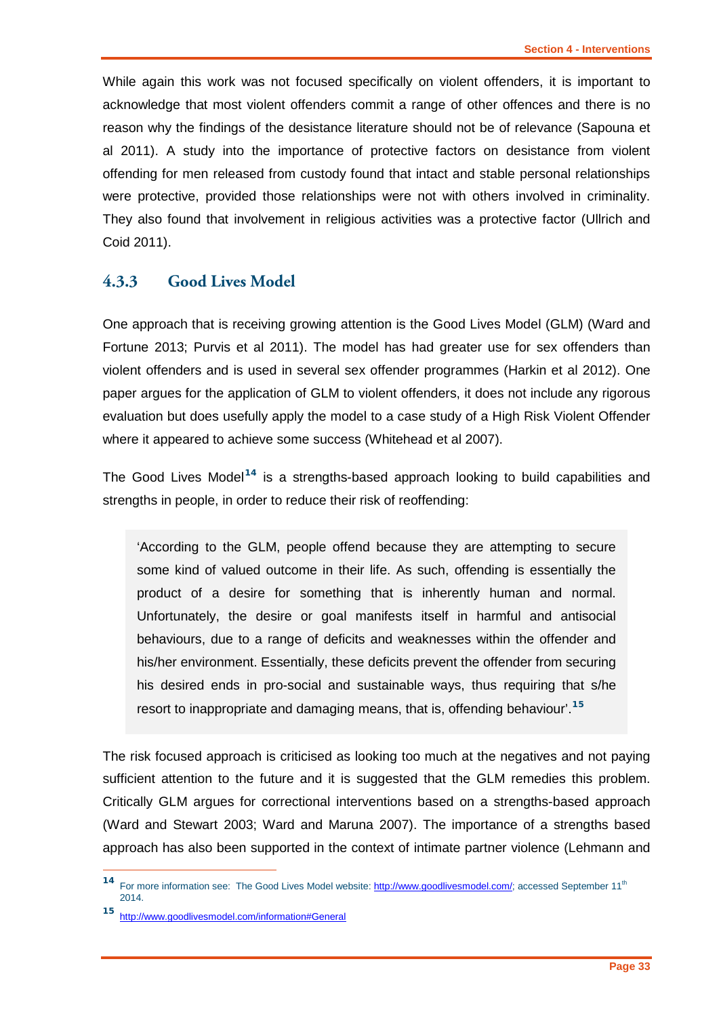While again this work was not focused specifically on violent offenders, it is important to acknowledge that most violent offenders commit a range of other offences and there is no reason why the findings of the desistance literature should not be of relevance (Sapouna et al 2011). A study into the importance of protective factors on desistance from violent offending for men released from custody found that intact and stable personal relationships were protective, provided those relationships were not with others involved in criminality. They also found that involvement in religious activities was a protective factor (Ullrich and Coid 2011).

#### <span id="page-34-0"></span>**4.3.3 Good Lives Model**

One approach that is receiving growing attention is the Good Lives Model (GLM) (Ward and Fortune 2013; Purvis et al 2011). The model has had greater use for sex offenders than violent offenders and is used in several sex offender programmes (Harkin et al 2012). One paper argues for the application of GLM to violent offenders, it does not include any rigorous evaluation but does usefully apply the model to a case study of a High Risk Violent Offender where it appeared to achieve some success (Whitehead et al 2007).

The Good Lives Model**[14](#page-34-1)** is a strengths-based approach looking to build capabilities and strengths in people, in order to reduce their risk of reoffending:

'According to the GLM, people offend because they are attempting to secure some kind of valued outcome in their life. As such, offending is essentially the product of a desire for something that is inherently human and normal. Unfortunately, the desire or goal manifests itself in harmful and antisocial behaviours, due to a range of deficits and weaknesses within the offender and his/her environment. Essentially, these deficits prevent the offender from securing his desired ends in pro-social and sustainable ways, thus requiring that s/he resort to inappropriate and damaging means, that is, offending behaviour'.**[15](#page-34-2)**

The risk focused approach is criticised as looking too much at the negatives and not paying sufficient attention to the future and it is suggested that the GLM remedies this problem. Critically GLM argues for correctional interventions based on a strengths-based approach (Ward and Stewart 2003; Ward and Maruna 2007). The importance of a strengths based approach has also been supported in the context of intimate partner violence (Lehmann and

-

<span id="page-34-1"></span><sup>14</sup> For more information see: The Good Lives Model website[: http://www.goodlivesmodel.com/;](http://www.goodlivesmodel.com/) accessed September 11<sup>th</sup> 2014.

<span id="page-34-2"></span>**<sup>15</sup>** [http://www.goodlivesmodel.com/information#General](http://www.goodlivesmodel.com/information%23General)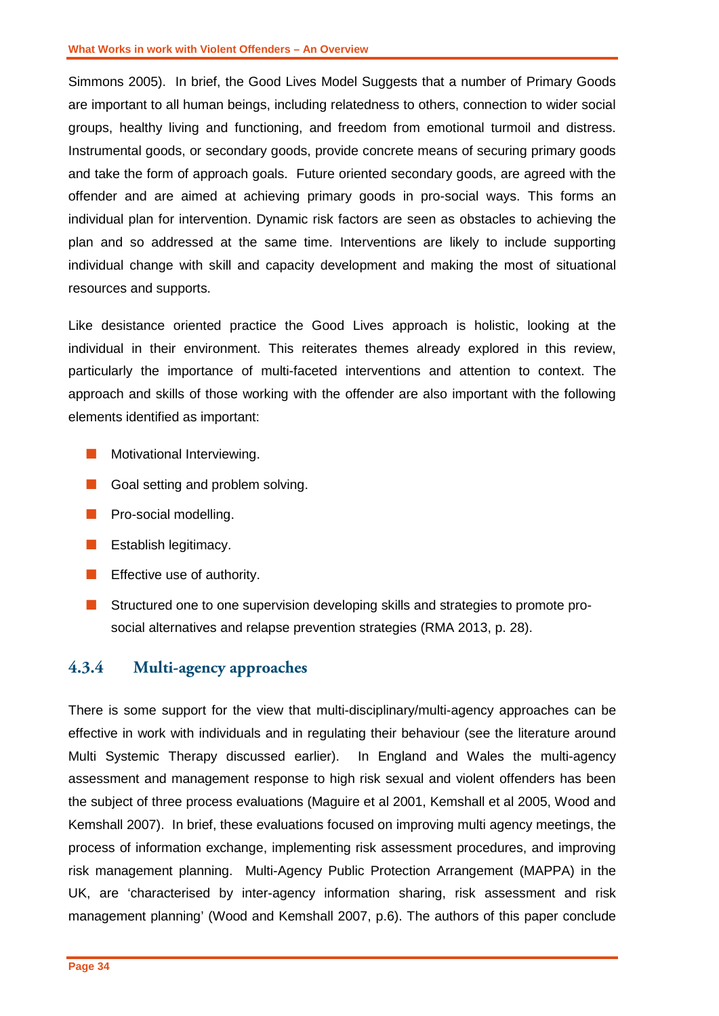Simmons 2005). In brief, the Good Lives Model Suggests that a number of Primary Goods are important to all human beings, including relatedness to others, connection to wider social groups, healthy living and functioning, and freedom from emotional turmoil and distress. Instrumental goods, or secondary goods, provide concrete means of securing primary goods and take the form of approach goals. Future oriented secondary goods, are agreed with the offender and are aimed at achieving primary goods in pro-social ways. This forms an individual plan for intervention. Dynamic risk factors are seen as obstacles to achieving the plan and so addressed at the same time. Interventions are likely to include supporting individual change with skill and capacity development and making the most of situational resources and supports.

Like desistance oriented practice the Good Lives approach is holistic, looking at the individual in their environment. This reiterates themes already explored in this review, particularly the importance of multi-faceted interventions and attention to context. The approach and skills of those working with the offender are also important with the following elements identified as important:

- **Motivational Interviewing.**
- Goal setting and problem solving.
- **Pro-social modelling.**
- **E** Establish legitimacy.
- $\blacksquare$  Effective use of authority.
- **Structured one to one supervision developing skills and strategies to promote pro**social alternatives and relapse prevention strategies (RMA 2013, p. 28).

#### <span id="page-35-0"></span>**4.3.4 Multi-agency approaches**

There is some support for the view that multi-disciplinary/multi-agency approaches can be effective in work with individuals and in regulating their behaviour (see the literature around Multi Systemic Therapy discussed earlier). In England and Wales the multi-agency assessment and management response to high risk sexual and violent offenders has been the subject of three process evaluations (Maguire et al 2001, Kemshall et al 2005, Wood and Kemshall 2007). In brief, these evaluations focused on improving multi agency meetings, the process of information exchange, implementing risk assessment procedures, and improving risk management planning. Multi-Agency Public Protection Arrangement (MAPPA) in the UK, are 'characterised by inter-agency information sharing, risk assessment and risk management planning' (Wood and Kemshall 2007, p.6). The authors of this paper conclude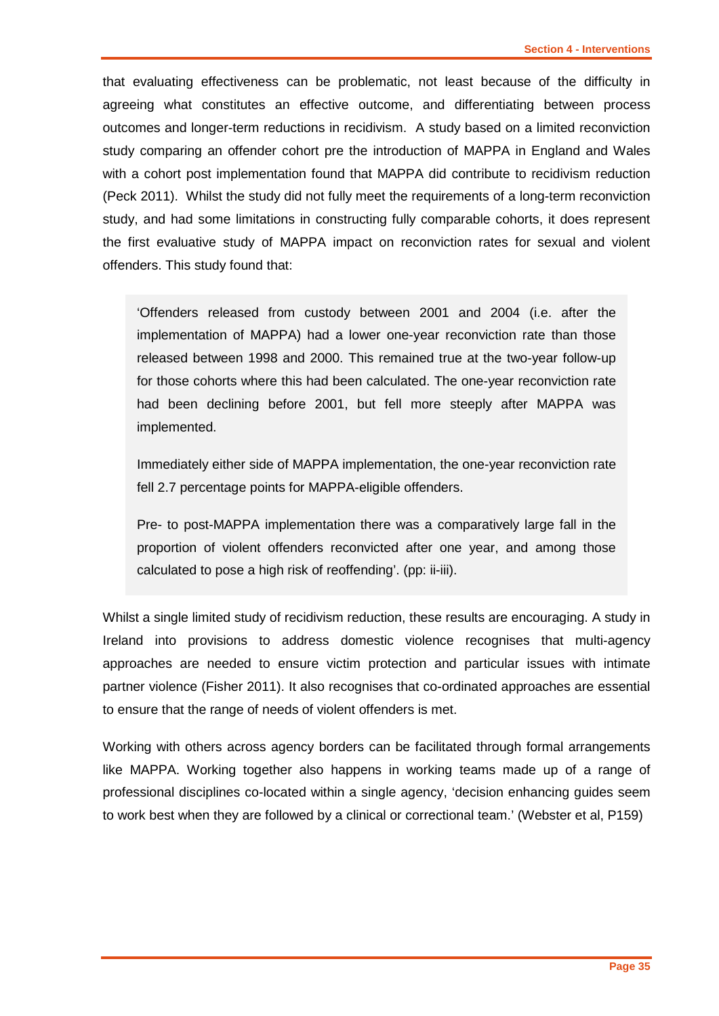that evaluating effectiveness can be problematic, not least because of the difficulty in agreeing what constitutes an effective outcome, and differentiating between process outcomes and longer-term reductions in recidivism. A study based on a limited reconviction study comparing an offender cohort pre the introduction of MAPPA in England and Wales with a cohort post implementation found that MAPPA did contribute to recidivism reduction (Peck 2011). Whilst the study did not fully meet the requirements of a long-term reconviction study, and had some limitations in constructing fully comparable cohorts, it does represent the first evaluative study of MAPPA impact on reconviction rates for sexual and violent offenders. This study found that:

'Offenders released from custody between 2001 and 2004 (i.e. after the implementation of MAPPA) had a lower one-year reconviction rate than those released between 1998 and 2000. This remained true at the two-year follow-up for those cohorts where this had been calculated. The one-year reconviction rate had been declining before 2001, but fell more steeply after MAPPA was implemented.

Immediately either side of MAPPA implementation, the one-year reconviction rate fell 2.7 percentage points for MAPPA-eligible offenders.

Pre- to post-MAPPA implementation there was a comparatively large fall in the proportion of violent offenders reconvicted after one year, and among those calculated to pose a high risk of reoffending'. (pp: ii-iii).

Whilst a single limited study of recidivism reduction, these results are encouraging. A study in Ireland into provisions to address domestic violence recognises that multi-agency approaches are needed to ensure victim protection and particular issues with intimate partner violence (Fisher 2011). It also recognises that co-ordinated approaches are essential to ensure that the range of needs of violent offenders is met.

Working with others across agency borders can be facilitated through formal arrangements like MAPPA. Working together also happens in working teams made up of a range of professional disciplines co-located within a single agency, 'decision enhancing guides seem to work best when they are followed by a clinical or correctional team.' (Webster et al, P159)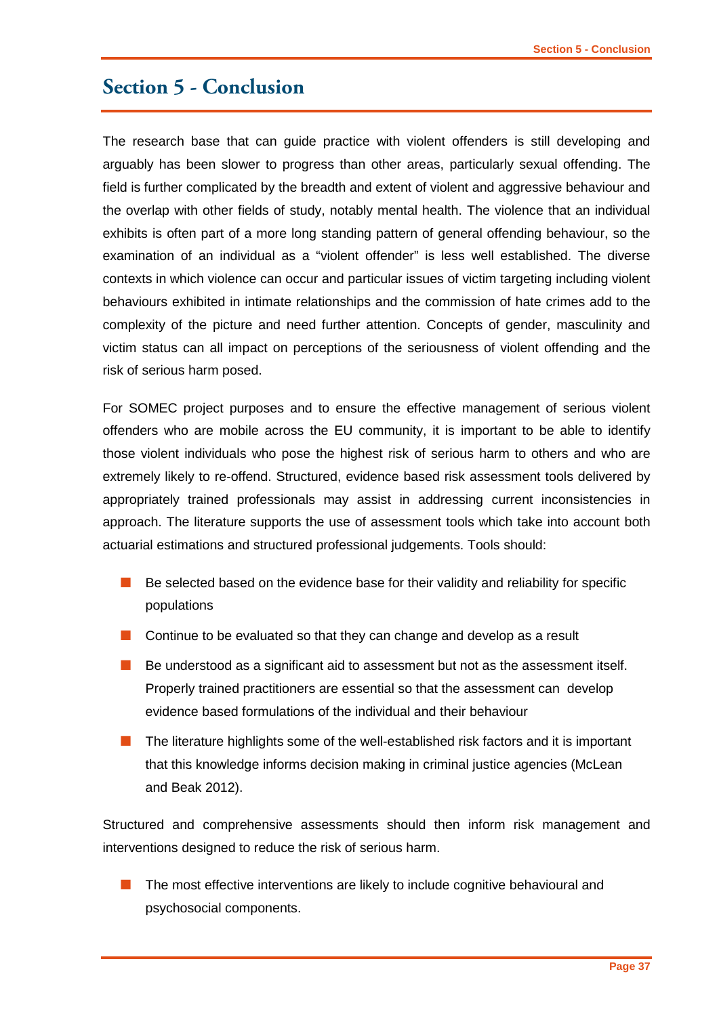## <span id="page-38-0"></span>**Section 5 - Conclusion**

The research base that can guide practice with violent offenders is still developing and arguably has been slower to progress than other areas, particularly sexual offending. The field is further complicated by the breadth and extent of violent and aggressive behaviour and the overlap with other fields of study, notably mental health. The violence that an individual exhibits is often part of a more long standing pattern of general offending behaviour, so the examination of an individual as a "violent offender" is less well established. The diverse contexts in which violence can occur and particular issues of victim targeting including violent behaviours exhibited in intimate relationships and the commission of hate crimes add to the complexity of the picture and need further attention. Concepts of gender, masculinity and victim status can all impact on perceptions of the seriousness of violent offending and the risk of serious harm posed.

For SOMEC project purposes and to ensure the effective management of serious violent offenders who are mobile across the EU community, it is important to be able to identify those violent individuals who pose the highest risk of serious harm to others and who are extremely likely to re-offend. Structured, evidence based risk assessment tools delivered by appropriately trained professionals may assist in addressing current inconsistencies in approach. The literature supports the use of assessment tools which take into account both actuarial estimations and structured professional judgements. Tools should:

- $\blacksquare$  Be selected based on the evidence base for their validity and reliability for specific populations
- **Continue to be evaluated so that they can change and develop as a result**
- $\blacksquare$  Be understood as a significant aid to assessment but not as the assessment itself. Properly trained practitioners are essential so that the assessment can develop evidence based formulations of the individual and their behaviour
- The literature highlights some of the well-established risk factors and it is important that this knowledge informs decision making in criminal justice agencies (McLean and Beak 2012).

Structured and comprehensive assessments should then inform risk management and interventions designed to reduce the risk of serious harm.

 The most effective interventions are likely to include cognitive behavioural and psychosocial components.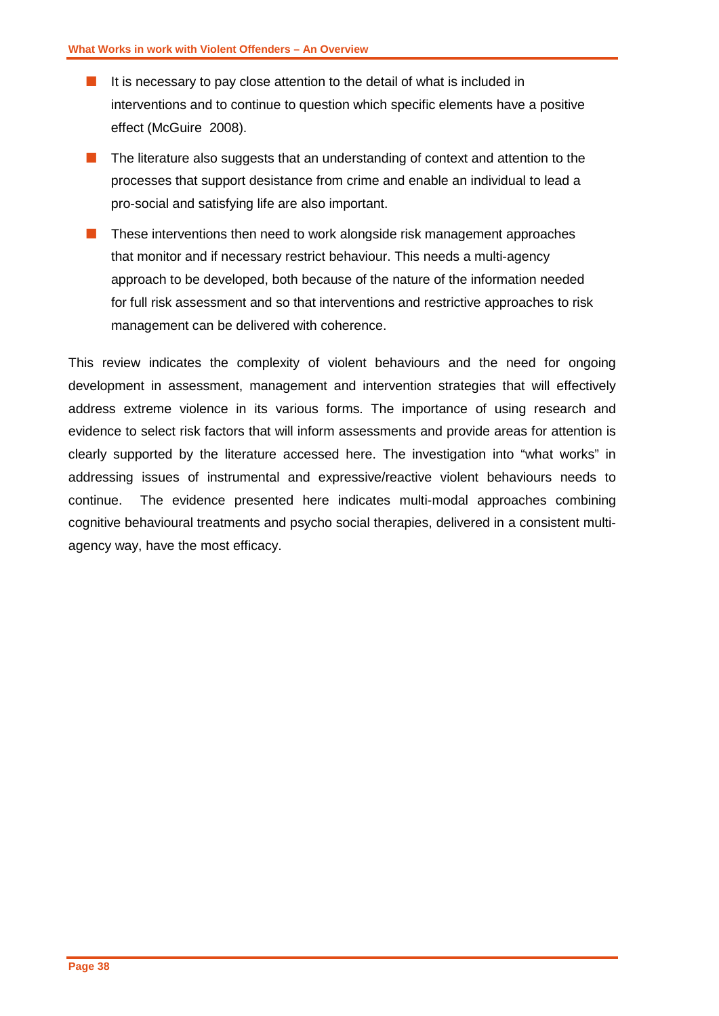- It is necessary to pay close attention to the detail of what is included in interventions and to continue to question which specific elements have a positive effect (McGuire 2008).
- **The literature also suggests that an understanding of context and attention to the** processes that support desistance from crime and enable an individual to lead a pro-social and satisfying life are also important.
- $\blacksquare$  These interventions then need to work alongside risk management approaches that monitor and if necessary restrict behaviour. This needs a multi-agency approach to be developed, both because of the nature of the information needed for full risk assessment and so that interventions and restrictive approaches to risk management can be delivered with coherence.

This review indicates the complexity of violent behaviours and the need for ongoing development in assessment, management and intervention strategies that will effectively address extreme violence in its various forms. The importance of using research and evidence to select risk factors that will inform assessments and provide areas for attention is clearly supported by the literature accessed here. The investigation into "what works" in addressing issues of instrumental and expressive/reactive violent behaviours needs to continue. The evidence presented here indicates multi-modal approaches combining cognitive behavioural treatments and psycho social therapies, delivered in a consistent multiagency way, have the most efficacy.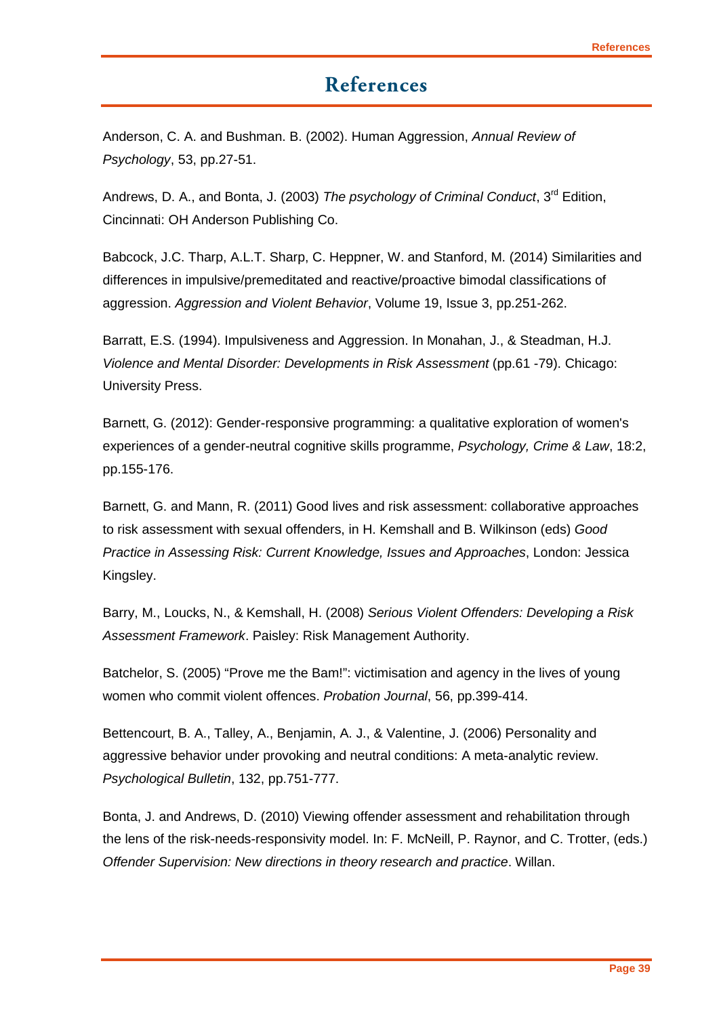# **References**

<span id="page-40-0"></span>Anderson, C. A. and Bushman. B. (2002). Human Aggression, *Annual Review of Psychology*, 53, pp.27-51.

Andrews, D. A., and Bonta, J. (2003) *The psychology of Criminal Conduct*, 3rd Edition, Cincinnati: OH Anderson Publishing Co.

Babcock, J.C. Tharp, A.L.T. Sharp, C. Heppner, W. and Stanford, M. (2014) Similarities and differences in impulsive/premeditated and reactive/proactive bimodal classifications of aggression. *Aggression and Violent Behavior*, Volume 19, Issue 3, pp.251-262.

Barratt, E.S. (1994). Impulsiveness and Aggression. In Monahan, J., & Steadman, H.J. *Violence and Mental Disorder: Developments in Risk Assessment* (pp.61 -79). Chicago: University Press.

Barnett, G. (2012): Gender-responsive programming: a qualitative exploration of women's experiences of a gender-neutral cognitive skills programme, *Psychology, Crime & Law*, 18:2, pp.155-176.

Barnett, G. and Mann, R. (2011) Good lives and risk assessment: collaborative approaches to risk assessment with sexual offenders, in H. Kemshall and B. Wilkinson (eds) *Good Practice in Assessing Risk: Current Knowledge, Issues and Approaches*, London: Jessica Kingsley.

Barry, M., Loucks, N., & Kemshall, H. (2008) *Serious Violent Offenders: Developing a Risk Assessment Framework*. Paisley: Risk Management Authority.

Batchelor, S. (2005) "Prove me the Bam!": victimisation and agency in the lives of young women who commit violent offences. *Probation Journal*, 56, pp.399-414.

Bettencourt, B. A., Talley, A., Benjamin, A. J., & Valentine, J. (2006) Personality and aggressive behavior under provoking and neutral conditions: A meta-analytic review. *Psychological Bulletin*, 132, pp.751-777.

Bonta, J. and Andrews, D. (2010) Viewing offender assessment and rehabilitation through the lens of the risk-needs-responsivity model. In: F. McNeill, P. Raynor, and C. Trotter, (eds.) *Offender Supervision: New directions in theory research and practice*. Willan.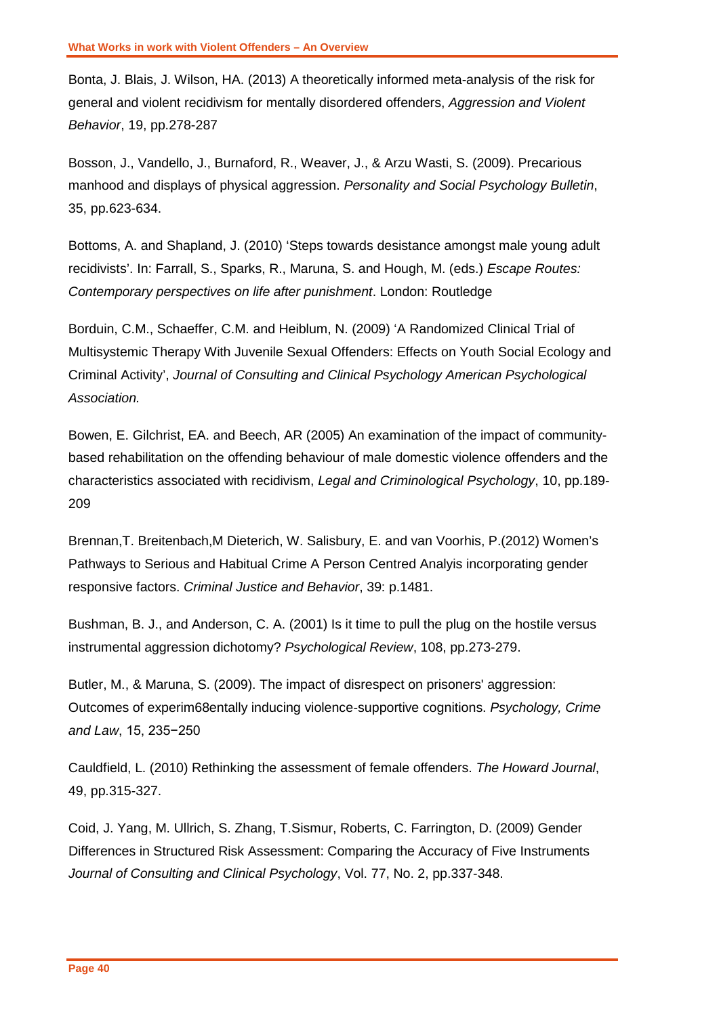Bonta, J. Blais, J. Wilson, HA. (2013) A theoretically informed meta-analysis of the risk for general and violent recidivism for mentally disordered offenders, *Aggression and Violent Behavior*, 19, pp.278-287

Bosson, J., Vandello, J., Burnaford, R., Weaver, J., & Arzu Wasti, S. (2009). Precarious manhood and displays of physical aggression. *Personality and Social Psychology Bulletin*, 35, pp.623-634.

Bottoms, A. and Shapland, J. (2010) 'Steps towards desistance amongst male young adult recidivists'. In: Farrall, S., Sparks, R., Maruna, S. and Hough, M. (eds.) *Escape Routes: Contemporary perspectives on life after punishment*. London: Routledge

Borduin, C.M., Schaeffer, C.M. and Heiblum, N. (2009) 'A Randomized Clinical Trial of Multisystemic Therapy With Juvenile Sexual Offenders: Effects on Youth Social Ecology and Criminal Activity', *Journal of Consulting and Clinical Psychology American Psychological Association.*

Bowen, E. Gilchrist, EA. and Beech, AR (2005) An examination of the impact of communitybased rehabilitation on the offending behaviour of male domestic violence offenders and the characteristics associated with recidivism, *Legal and Criminological Psychology*, 10, pp.189- 209

Brennan,T. Breitenbach,M Dieterich, W. Salisbury, E. and van Voorhis, P.(2012) Women's Pathways to Serious and Habitual Crime A Person Centred Analyis incorporating gender responsive factors. *Criminal Justice and Behavior*, 39: p.1481.

Bushman, B. J., and Anderson, C. A. (2001) Is it time to pull the plug on the hostile versus instrumental aggression dichotomy? *Psychological Review*, 108, pp.273-279.

Butler, M., & Maruna, S. (2009). The impact of disrespect on prisoners' aggression: Outcomes of experim68entally inducing violence-supportive cognitions. *Psychology, Crime and Law*, 15, 235−250

Cauldfield, L. (2010) Rethinking the assessment of female offenders. *The Howard Journal*, 49, pp.315-327.

Coid, J. Yang, M. Ullrich, S. Zhang, T.Sismur, Roberts, C. Farrington, D. (2009) Gender Differences in Structured Risk Assessment: Comparing the Accuracy of Five Instruments *Journal of Consulting and Clinical Psychology*, Vol. 77, No. 2, pp.337-348.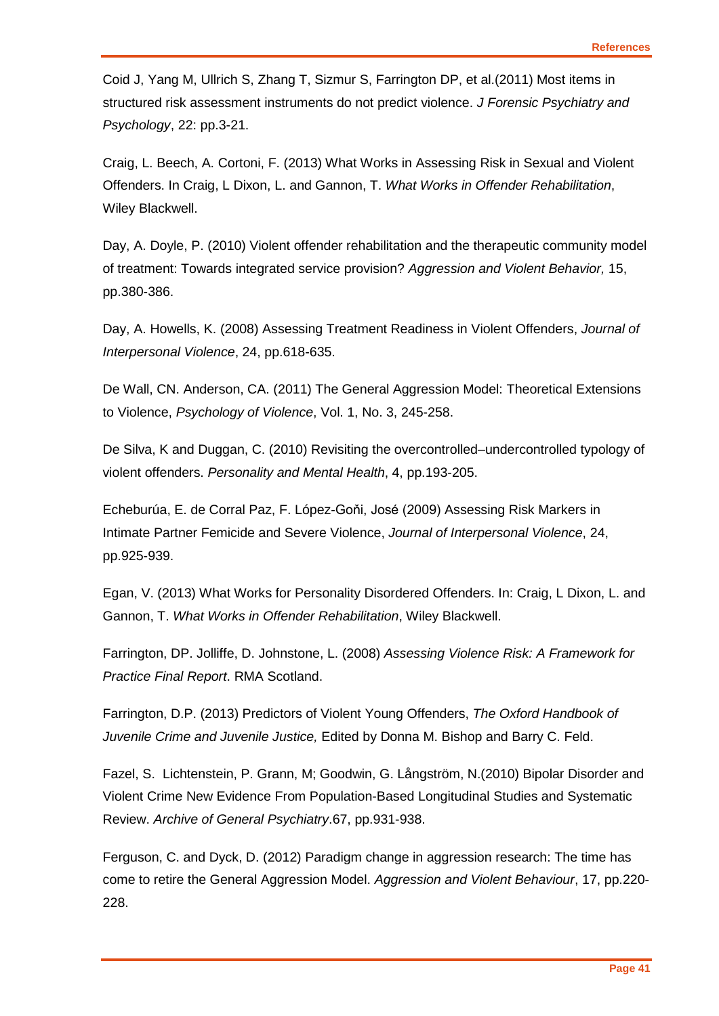Coid J, Yang M, Ullrich S, Zhang T, Sizmur S, Farrington DP, et al.(2011) Most items in structured risk assessment instruments do not predict violence. *J Forensic Psychiatry and Psychology*, 22: pp.3-21.

Craig, L. Beech, A. Cortoni, F. (2013) What Works in Assessing Risk in Sexual and Violent Offenders. In Craig, L Dixon, L. and Gannon, T. *What Works in Offender Rehabilitation*, Wiley Blackwell.

Day, A. Doyle, P. (2010) Violent offender rehabilitation and the therapeutic community model of treatment: Towards integrated service provision? *Aggression and Violent Behavior,* 15, pp.380-386.

Day, A. Howells, K. (2008) Assessing Treatment Readiness in Violent Offenders, *Journal of Interpersonal Violence*, 24, pp.618-635.

De Wall, CN. Anderson, CA. (2011) The General Aggression Model: Theoretical Extensions to Violence, *Psychology of Violence*, Vol. 1, No. 3, 245-258.

De Silva, K and Duggan, C. (2010) Revisiting the overcontrolled–undercontrolled typology of violent offenders. *Personality and Mental Health*, 4, pp.193-205.

Echeburúa, E. de Corral Paz, F. López-Goňi, José (2009) Assessing Risk Markers in Intimate Partner Femicide and Severe Violence, *Journal of Interpersonal Violence*, 24, pp.925-939.

Egan, V. (2013) What Works for Personality Disordered Offenders. In: Craig, L Dixon, L. and Gannon, T. *What Works in Offender Rehabilitation*, Wiley Blackwell.

Farrington, DP. Jolliffe, D. Johnstone, L. (2008) *Assessing Violence Risk: A Framework for Practice Final Report*. RMA Scotland.

Farrington, D.P. (2013) Predictors of Violent Young Offenders, *The Oxford Handbook of Juvenile Crime and Juvenile Justice,* Edited by Donna M. Bishop and Barry C. Feld.

Fazel, S. Lichtenstein, P. Grann, M; Goodwin, G. Långström, N.(2010) Bipolar Disorder and Violent Crime New Evidence From Population-Based Longitudinal Studies and Systematic Review. *Archive of General Psychiatry*.67, pp.931-938.

Ferguson, C. and Dyck, D. (2012) Paradigm change in aggression research: The time has come to retire the General Aggression Model. *Aggression and Violent Behaviour*, 17, pp.220- 228.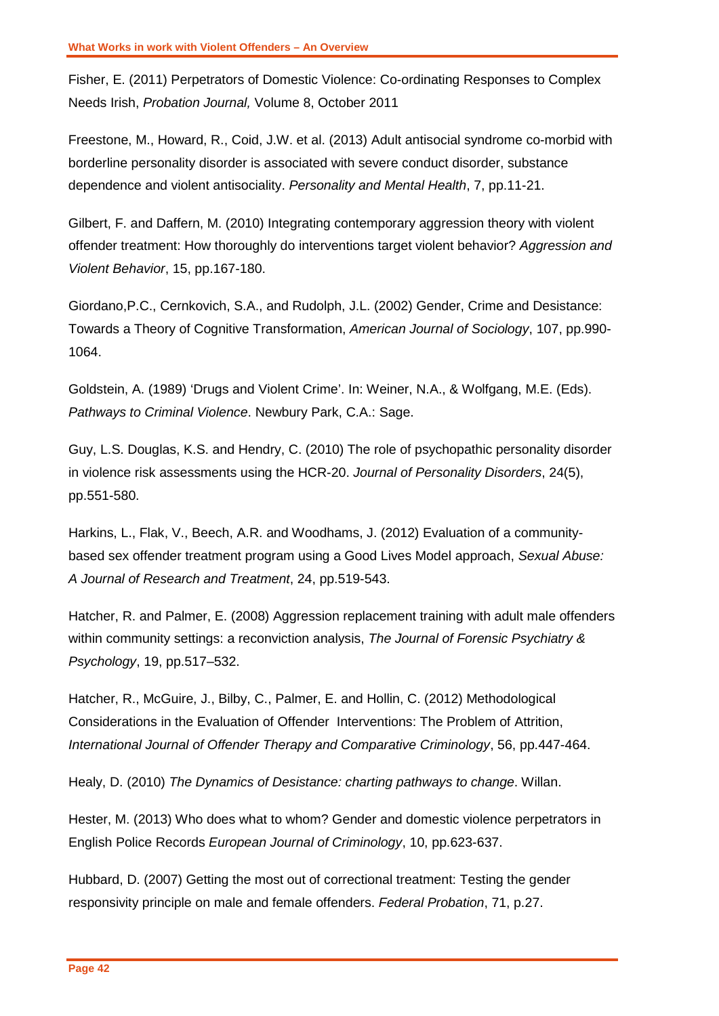Fisher, E. (2011) Perpetrators of Domestic Violence: Co-ordinating Responses to Complex Needs Irish, *Probation Journal,* Volume 8, October 2011

Freestone, M., Howard, R., Coid, J.W. et al. (2013) Adult antisocial syndrome co-morbid with borderline personality disorder is associated with severe conduct disorder, substance dependence and violent antisociality. *Personality and Mental Health*, 7, pp.11-21.

Gilbert, F. and Daffern, M. (2010) Integrating contemporary aggression theory with violent offender treatment: How thoroughly do interventions target violent behavior? *Aggression and Violent Behavior*, 15, pp.167-180.

Giordano,P.C., Cernkovich, S.A., and Rudolph, J.L. (2002) Gender, Crime and Desistance: Towards a Theory of Cognitive Transformation, *American Journal of Sociology*, 107, pp.990- 1064.

Goldstein, A. (1989) 'Drugs and Violent Crime'. In: Weiner, N.A., & Wolfgang, M.E. (Eds). *Pathways to Criminal Violence*. Newbury Park, C.A.: Sage.

Guy, L.S. Douglas, K.S. and Hendry, C. (2010) The role of psychopathic personality disorder in violence risk assessments using the HCR-20. *Journal of Personality Disorders*, 24(5), pp.551-580.

Harkins, L., Flak, V., Beech, A.R. and Woodhams, J. (2012) Evaluation of a communitybased sex offender treatment program using a Good Lives Model approach, *Sexual Abuse: A Journal of Research and Treatment*, 24, pp.519-543.

Hatcher, R. and Palmer, E. (2008) Aggression replacement training with adult male offenders within community settings: a reconviction analysis, *The Journal of Forensic Psychiatry & Psychology*, 19, pp.517–532.

Hatcher, R., McGuire, J., Bilby, C., Palmer, E. and Hollin, C. (2012) Methodological Considerations in the Evaluation of Offender Interventions: The Problem of Attrition, *International Journal of Offender Therapy and Comparative Criminology*, 56, pp.447-464.

Healy, D. (2010) *The Dynamics of Desistance: charting pathways to change*. Willan.

Hester, M. (2013) Who does what to whom? Gender and domestic violence perpetrators in English Police Records *European Journal of Criminology*, 10, pp.623-637.

Hubbard, D. (2007) Getting the most out of correctional treatment: Testing the gender responsivity principle on male and female offenders. *Federal Probation*, 71, p.27.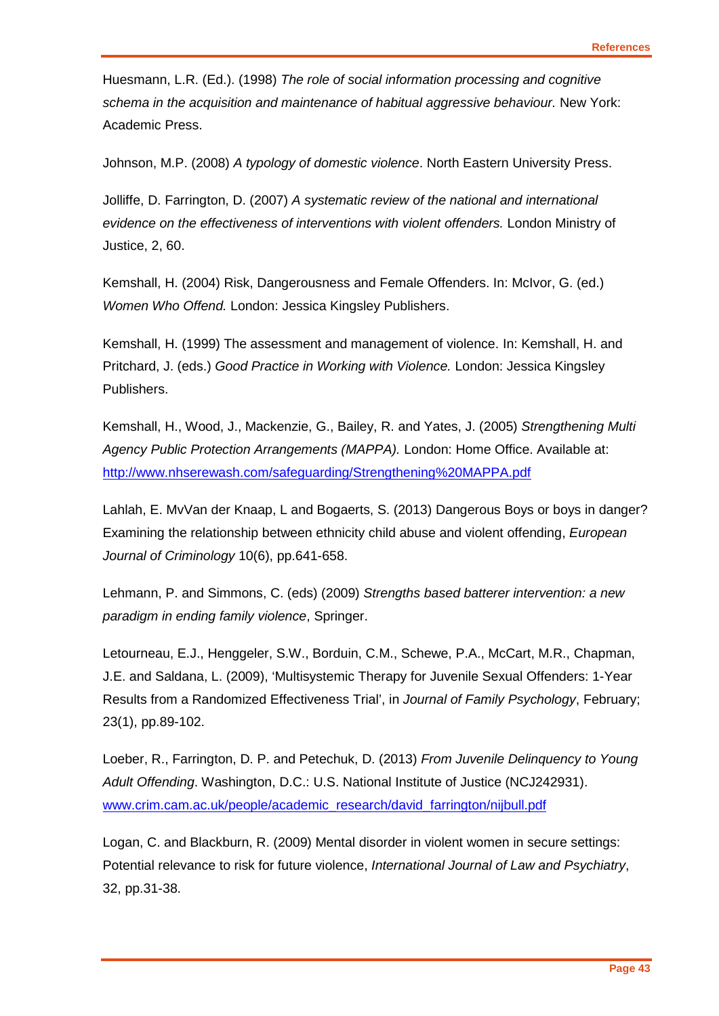Huesmann, L.R. (Ed.). (1998) *The role of social information processing and cognitive schema in the acquisition and maintenance of habitual aggressive behaviour.* New York: Academic Press.

Johnson, M.P. (2008) *A typology of domestic violence*. North Eastern University Press.

Jolliffe, D. Farrington, D. (2007) *A systematic review of the national and international evidence on the effectiveness of interventions with violent offenders.* London Ministry of Justice, 2, 60.

Kemshall, H. (2004) Risk, Dangerousness and Female Offenders. In: McIvor, G. (ed.) *Women Who Offend.* London: Jessica Kingsley Publishers.

Kemshall, H. (1999) The assessment and management of violence. In: Kemshall, H. and Pritchard, J. (eds.) *Good Practice in Working with Violence.* London: Jessica Kingsley Publishers.

Kemshall, H., Wood, J., Mackenzie, G., Bailey, R. and Yates, J. (2005) *Strengthening Multi Agency Public Protection Arrangements (MAPPA).* London: Home Office. Available at: <http://www.nhserewash.com/safeguarding/Strengthening%20MAPPA.pdf>

Lahlah, E. MvVan der Knaap, L and Bogaerts, S. (2013) Dangerous Boys or boys in danger? Examining the relationship between ethnicity child abuse and violent offending, *European Journal of Criminology* 10(6), pp.641-658.

Lehmann, P. and Simmons, C. (eds) (2009) *Strengths based batterer intervention: a new paradigm in ending family violence*, Springer.

Letourneau, E.J., Henggeler, S.W., Borduin, C.M., Schewe, P.A., McCart, M.R., Chapman, J.E. and Saldana, L. (2009), 'Multisystemic Therapy for Juvenile Sexual Offenders: 1-Year Results from a Randomized Effectiveness Trial', in *Journal of Family Psychology*, February; 23(1), pp.89-102.

Loeber, R., Farrington, D. P. and Petechuk, D. (2013) *From Juvenile Delinquency to Young Adult Offending*. Washington, D.C.: U.S. National Institute of Justice (NCJ242931). [www.crim.cam.ac.uk/people/academic\\_research/david\\_farrington/nijbull.pdf](http://www.crim.cam.ac.uk/people/academic_research/david_farrington/nijbull.pdf)

Logan, C. and Blackburn, R. (2009) Mental disorder in violent women in secure settings: Potential relevance to risk for future violence, *International Journal of Law and Psychiatry*, 32, pp.31-38.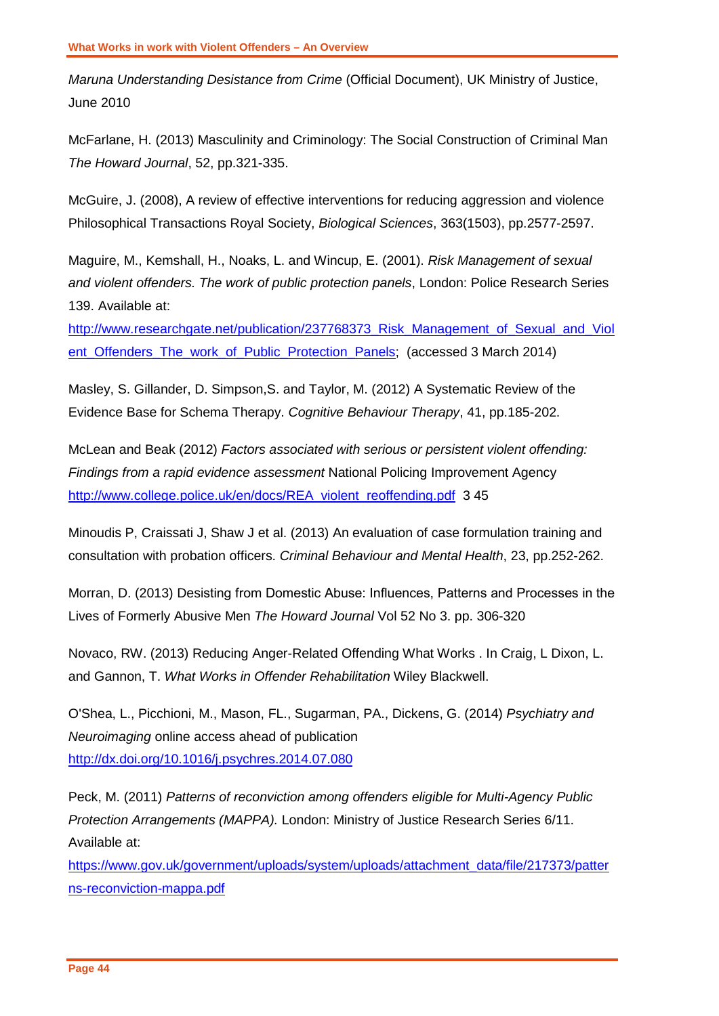*Maruna Understanding Desistance from Crime* (Official Document), UK Ministry of Justice, June 2010

McFarlane, H. (2013) Masculinity and Criminology: The Social Construction of Criminal Man *The Howard Journal*, 52, pp.321-335.

McGuire, J. (2008), A review of effective interventions for reducing aggression and violence Philosophical Transactions Royal Society, *Biological Sciences*, 363(1503), pp.2577-2597.

Maguire, M., Kemshall, H., Noaks, L. and Wincup, E. (2001). *Risk Management of sexual and violent offenders. The work of public protection panels*, London: Police Research Series 139. Available at:

[http://www.researchgate.net/publication/237768373\\_Risk\\_Management\\_of\\_Sexual\\_and\\_Viol](http://www.researchgate.net/publication/237768373_Risk_Management_of_Sexual_and_Violent_Offenders_The_work_of_Public_Protection_Panels) [ent\\_Offenders\\_The\\_work\\_of\\_Public\\_Protection\\_Panels;](http://www.researchgate.net/publication/237768373_Risk_Management_of_Sexual_and_Violent_Offenders_The_work_of_Public_Protection_Panels) (accessed 3 March 2014)

Masley, S. Gillander, D. Simpson,S. and Taylor, M. (2012) A Systematic Review of the Evidence Base for Schema Therapy. *Cognitive Behaviour Therapy*, 41, pp.185-202.

McLean and Beak (2012) *Factors associated with serious or persistent violent offending: Findings from a rapid evidence assessment* National Policing Improvement Agency [http://www.college.police.uk/en/docs/REA\\_violent\\_reoffending.pdf](http://www.college.police.uk/en/docs/REA_violent_reoffending.pdf) 3 45

Minoudis P, Craissati J, Shaw J et al. (2013) An evaluation of case formulation training and consultation with probation officers. *Criminal Behaviour and Mental Health*, 23, pp.252-262.

Morran, D. (2013) Desisting from Domestic Abuse: Influences, Patterns and Processes in the Lives of Formerly Abusive Men *The Howard Journal* Vol 52 No 3. pp. 306-320

Novaco, RW. (2013) Reducing Anger-Related Offending What Works . In Craig, L Dixon, L. and Gannon, T. *What Works in Offender Rehabilitation* Wiley Blackwell.

O'Shea, L., Picchioni, M., Mason, FL., Sugarman, PA., Dickens, G. (2014) *Psychiatry and Neuroimaging* online access ahead of publication <http://dx.doi.org/10.1016/j.psychres.2014.07.080>

Peck, M. (2011) *Patterns of reconviction among offenders eligible for Multi-Agency Public Protection Arrangements (MAPPA).* London: Ministry of Justice Research Series 6/11. Available at:

[https://www.gov.uk/government/uploads/system/uploads/attachment\\_data/file/217373/patter](https://www.gov.uk/government/uploads/system/uploads/attachment_data/file/217373/patterns-reconviction-mappa.pdf) [ns-reconviction-mappa.pdf](https://www.gov.uk/government/uploads/system/uploads/attachment_data/file/217373/patterns-reconviction-mappa.pdf)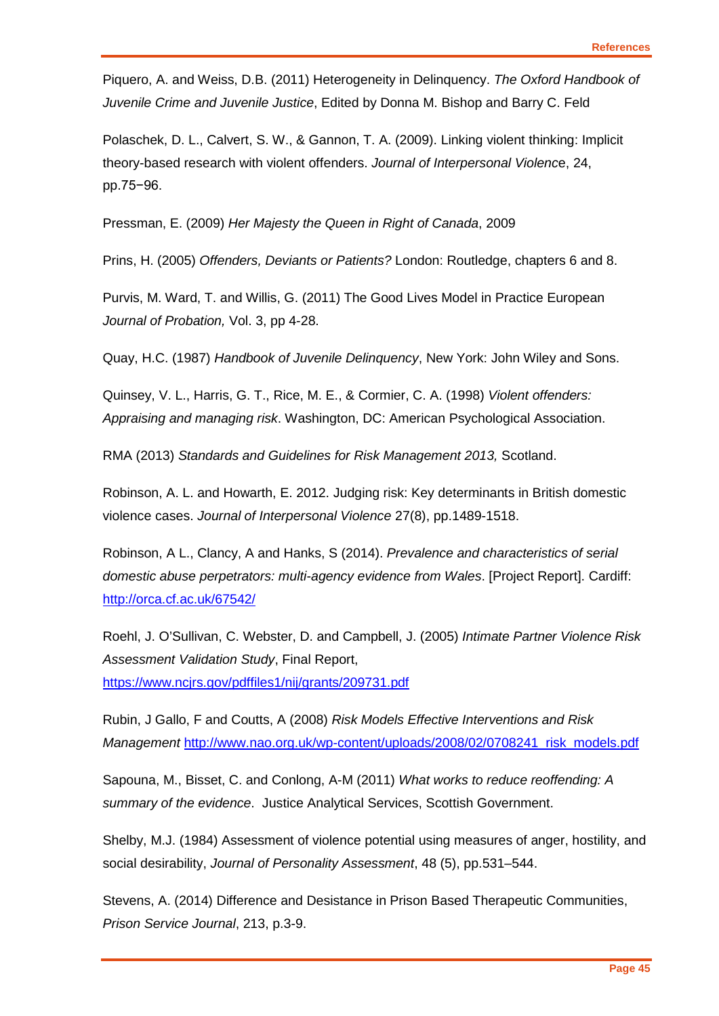Piquero, A. and Weiss, D.B. (2011) Heterogeneity in Delinquency. *The Oxford Handbook of Juvenile Crime and Juvenile Justice*, Edited by Donna M. Bishop and Barry C. Feld

Polaschek, D. L., Calvert, S. W., & Gannon, T. A. (2009). Linking violent thinking: Implicit theory-based research with violent offenders. *Journal of Interpersonal Violenc*e, 24, pp.75−96.

Pressman, E. (2009) *Her Majesty the Queen in Right of Canada*, 2009

Prins, H. (2005) *Offenders, Deviants or Patients?* London: Routledge, chapters 6 and 8.

Purvis, M. Ward, T. and Willis, G. (2011) The Good Lives Model in Practice European *Journal of Probation,* Vol. 3, pp 4-28.

Quay, H.C. (1987) *Handbook of Juvenile Delinquency*, New York: John Wiley and Sons.

Quinsey, V. L., Harris, G. T., Rice, M. E., & Cormier, C. A. (1998) *Violent offenders: Appraising and managing risk*. Washington, DC: American Psychological Association.

RMA (2013) *Standards and Guidelines for Risk Management 2013,* Scotland.

Robinson, A. L. and Howarth, E. 2012. Judging risk: Key determinants in British domestic violence cases. *Journal of Interpersonal Violence* 27(8), pp.1489-1518.

Robinson, A L., Clancy, A and Hanks, S (2014). *Prevalence and characteristics of serial domestic abuse perpetrators: multi-agency evidence from Wales*. [Project Report]. Cardiff: <http://orca.cf.ac.uk/67542/>

Roehl, J. O'Sullivan, C. Webster, D. and Campbell, J. (2005) *Intimate Partner Violence Risk Assessment Validation Study*, Final Report, <https://www.ncjrs.gov/pdffiles1/nij/grants/209731.pdf>

Rubin, J Gallo, F and Coutts, A (2008) *Risk Models Effective Interventions and Risk Management* [http://www.nao.org.uk/wp-content/uploads/2008/02/0708241\\_risk\\_models.pdf](http://www.nao.org.uk/wp-content/uploads/2008/02/0708241_risk_models.pdf)

Sapouna, M., Bisset, C. and Conlong, A-M (2011) *What works to reduce reoffending: A summary of the evidence*. Justice Analytical Services, Scottish Government.

Shelby, M.J. (1984) Assessment of violence potential using measures of anger, hostility, and social desirability, *Journal of Personality Assessment*, 48 (5), pp.531–544.

Stevens, A. (2014) Difference and Desistance in Prison Based Therapeutic Communities, *Prison Service Journal*, 213, p.3-9.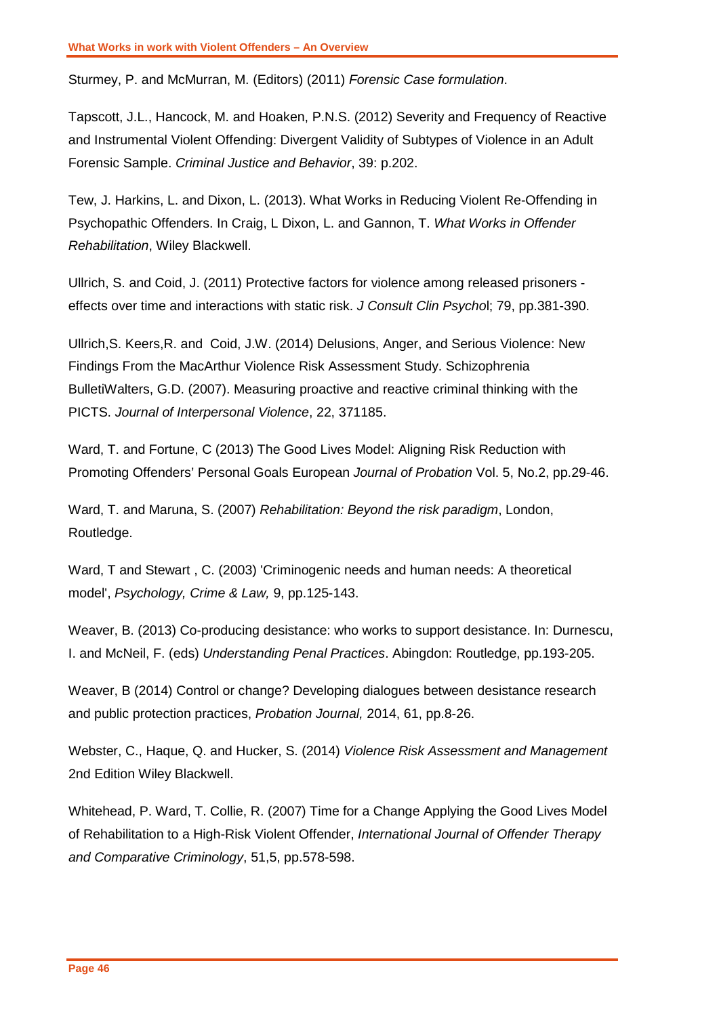Sturmey, P. and McMurran, M. (Editors) (2011) *Forensic Case formulation*.

Tapscott, J.L., Hancock, M. and Hoaken, P.N.S. (2012) Severity and Frequency of Reactive and Instrumental Violent Offending: Divergent Validity of Subtypes of Violence in an Adult Forensic Sample. *Criminal Justice and Behavior*, 39: p.202.

Tew, J. Harkins, L. and Dixon, L. (2013). What Works in Reducing Violent Re-Offending in Psychopathic Offenders. In Craig, L Dixon, L. and Gannon, T. *What Works in Offender Rehabilitation*, Wiley Blackwell.

Ullrich, S. and Coid, J. (2011) Protective factors for violence among released prisoners effects over time and interactions with static risk. *J Consult Clin Psycho*l; 79, pp.381-390.

Ullrich,S. Keers,R. and Coid, J.W. (2014) Delusions, Anger, and Serious Violence: New Findings From the MacArthur Violence Risk Assessment Study. Schizophrenia BulletiWalters, G.D. (2007). Measuring proactive and reactive criminal thinking with the PICTS. *Journal of Interpersonal Violence*, 22, 371185.

Ward, T. and Fortune, C (2013) The Good Lives Model: Aligning Risk Reduction with Promoting Offenders' Personal Goals European *Journal of Probation* Vol. 5, No.2, pp.29-46.

Ward, T. and Maruna, S. (2007) *Rehabilitation: Beyond the risk paradigm*, London, Routledge.

Ward, T and Stewart , C. (2003) 'Criminogenic needs and human needs: A theoretical model', *Psychology, Crime & Law,* 9, pp.125-143.

Weaver, B. (2013) Co-producing desistance: who works to support desistance. In: Durnescu, I. and McNeil, F. (eds) *Understanding Penal Practices*. Abingdon: Routledge, pp.193-205.

Weaver, B (2014) Control or change? Developing dialogues between desistance research and public protection practices, *Probation Journal,* 2014, 61, pp.8-26.

Webster, C., Haque, Q. and Hucker, S. (2014) *Violence Risk Assessment and Management*  2nd Edition Wiley Blackwell.

Whitehead, P. Ward, T. Collie, R. (2007) Time for a Change Applying the Good Lives Model of Rehabilitation to a High-Risk Violent Offender, *International Journal of Offender Therapy and Comparative Criminology*, 51,5, pp.578-598.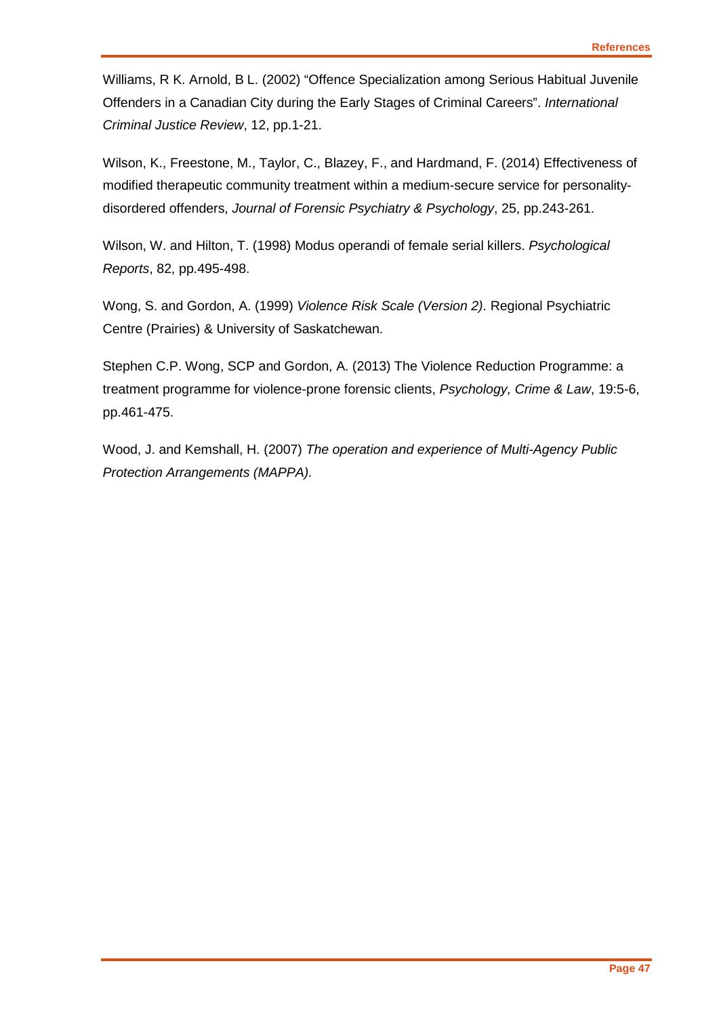Williams, R K. Arnold, B L. (2002) "Offence Specialization among Serious Habitual Juvenile Offenders in a Canadian City during the Early Stages of Criminal Careers". *International Criminal Justice Review*, 12, pp.1-21.

Wilson, K., Freestone, M., Taylor, C., Blazey, F., and Hardmand, F. (2014) Effectiveness of modified therapeutic community treatment within a medium-secure service for personalitydisordered offenders, *Journal of Forensic Psychiatry & Psychology*, 25, pp.243-261.

Wilson, W. and Hilton, T. (1998) Modus operandi of female serial killers. *Psychological Reports*, 82, pp.495-498.

Wong, S. and Gordon, A. (1999) *Violence Risk Scale (Version 2)*. Regional Psychiatric Centre (Prairies) & University of Saskatchewan.

Stephen C.P. Wong, SCP and Gordon, A. (2013) The Violence Reduction Programme: a treatment programme for violence-prone forensic clients, *Psychology, Crime & Law*, 19:5-6, pp.461-475.

Wood, J. and Kemshall, H. (2007) *The operation and experience of Multi-Agency Public Protection Arrangements (MAPPA).*